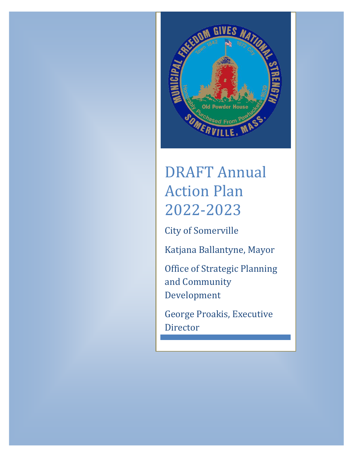

# DRAFT Annual Action Plan 2022-2023

City of Somerville

Katjana Ballantyne, Mayor

Office of Strategic Planning and Community Development

George Proakis, Executive Director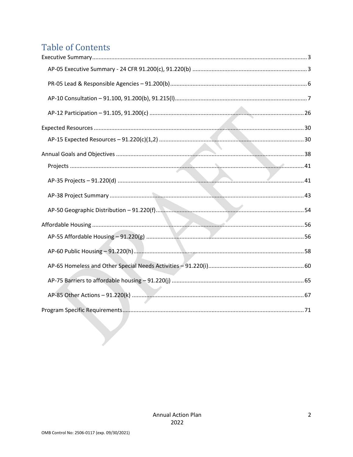# **Table of Contents**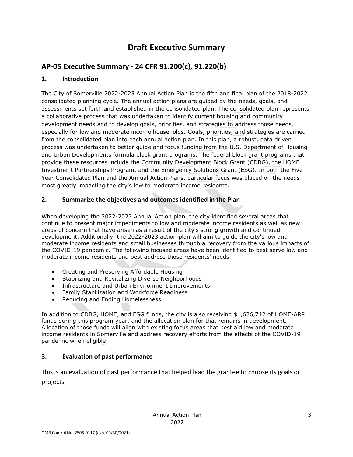# **Draft Executive Summary**

# <span id="page-2-1"></span><span id="page-2-0"></span>**AP-05 Executive Summary - 24 CFR 91.200(c), 91.220(b)**

#### **1. Introduction**

The City of Somerville 2022-2023 Annual Action Plan is the fifth and final plan of the 2018-2022 consolidated planning cycle. The annual action plans are guided by the needs, goals, and assessments set forth and established in the consolidated plan. The consolidated plan represents a collaborative process that was undertaken to identify current housing and community development needs and to develop goals, priorities, and strategies to address those needs, especially for low and moderate income households. Goals, priorities, and strategies are carried from the consolidated plan into each annual action plan. In this plan, a robust, data driven process was undertaken to better guide and focus funding from the U.S. Department of Housing and Urban Developments formula block grant programs. The federal block grant programs that provide these resources include the Community Development Block Grant (CDBG), the HOME Investment Partnerships Program, and the Emergency Solutions Grant (ESG). In both the Five Year Consolidated Plan and the Annual Action Plans, particular focus was placed on the needs most greatly impacting the city's low to moderate income residents.

#### **2. Summarize the objectives and outcomes identified in the Plan**

When developing the 2022-2023 Annual Action plan, the city identified several areas that continue to present major impediments to low and moderate income residents as well as new areas of concern that have arisen as a result of the city's strong growth and continued development. Additionally, the 2022-2023 action plan will aim to guide the city's low and moderate income residents and small businesses through a recovery from the various impacts of the COVID-19 pandemic. The following focused areas have been identified to best serve low and moderate income residents and best address those residents' needs.

- Creating and Preserving Affordable Housing
- Stabilizing and Revitalizing Diverse Neighborhoods
- Infrastructure and Urban Environment Improvements
- Family Stabilization and Workforce Readiness
- Reducing and Ending Homelessness

In addition to CDBG, HOME, and ESG funds, the city is also receiving \$1,626,742 of HOME-ARP funds during this program year, and the allocation plan for that remains in development. Allocation of those funds will align with existing focus areas that best aid low and moderate income residents in Somerville and address recovery efforts from the effects of the COVID-19 pandemic when eligible.

#### **3. Evaluation of past performance**

This is an evaluation of past performance that helped lead the grantee to choose its goals or projects.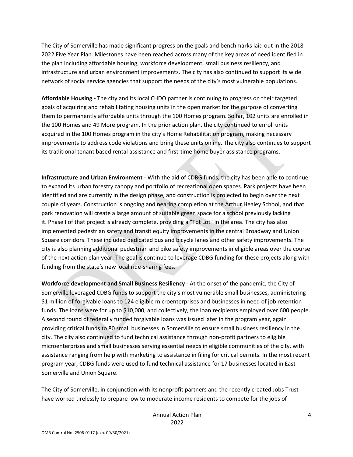The City of Somerville has made significant progress on the goals and benchmarks laid out in the 2018- 2022 Five Year Plan. Milestones have been reached across many of the key areas of need identified in the plan including affordable housing, workforce development, small business resiliency, and infrastructure and urban environment improvements. The city has also continued to support its wide network of social service agencies that support the needs of the city's most vulnerable populations.

**Affordable Housing -** The city and its local CHDO partner is continuing to progress on their targeted goals of acquiring and rehabilitating housing units in the open market for the purpose of converting them to permanently affordable units through the 100 Homes program. So far, 102 units are enrolled in the 100 Homes and 49 More program. In the prior action plan, the city continued to enroll units acquired in the 100 Homes program in the city's Home Rehabilitation program, making necessary improvements to address code violations and bring these units online. The city also continues to support its traditional tenant based rental assistance and first-time home buyer assistance programs.

**Infrastructure and Urban Environment -** With the aid of CDBG funds, the city has been able to continue to expand its urban forestry canopy and portfolio of recreational open spaces. Park projects have been identified and are currently in the design phase, and construction is projected to begin over the next couple of years. Construction is ongoing and nearing completion at the Arthur Healey School, and that park renovation will create a large amount of suitable green space for a school previously lacking it. Phase I of that project is already complete, providing a "Tot Lot" in the area. The city has also implemented pedestrian safety and transit equity improvements in the central Broadway and Union Square corridors. These included dedicated bus and bicycle lanes and other safety improvements. The city is also planning additional pedestrian and bike safety improvements in eligible areas over the course of the next action plan year. The goal is continue to leverage CDBG funding for these projects along with funding from the state's new local ride-sharing fees.

**Workforce development and Small Business Resiliency -** At the onset of the pandemic, the City of Somerville leveraged CDBG funds to support the city's most vulnerable small businesses, administering \$1 million of forgivable loans to 124 eligible microenterprises and businesses in need of job retention funds. The loans were for up to \$10,000, and collectively, the loan recipients employed over 600 people. A second round of federally funded forgivable loans was issued later in the program year, again providing critical funds to 80 small businesses in Somerville to ensure small business resiliency in the city. The city also continued to fund technical assistance through non-profit partners to eligible microenterprises and small businesses serving essential needs in eligible communities of the city, with assistance ranging from help with marketing to assistance in filing for critical permits. In the most recent program year, CDBG funds were used to fund technical assistance for 17 businesses located in East Somerville and Union Square.

The City of Somerville, in conjunction with its nonprofit partners and the recently created Jobs Trust have worked tirelessly to prepare low to moderate income residents to compete for the jobs of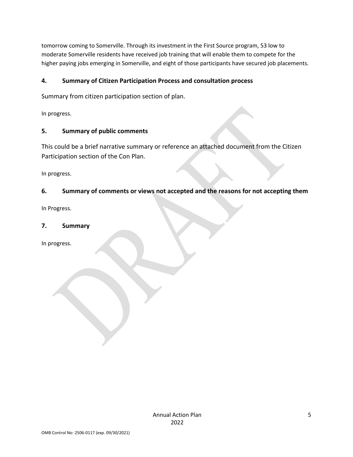tomorrow coming to Somerville. Through its investment in the First Source program, 53 low to moderate Somerville residents have received job training that will enable them to compete for the higher paying jobs emerging in Somerville, and eight of those participants have secured job placements.

#### **4. Summary of Citizen Participation Process and consultation process**

Summary from citizen participation section of plan.

In progress.

#### **5. Summary of public comments**

This could be a brief narrative summary or reference an attached document from the Citizen Participation section of the Con Plan.

In progress.

#### **6. Summary of comments or views not accepted and the reasons for not accepting them**

In Progress.

#### **7. Summary**

In progress.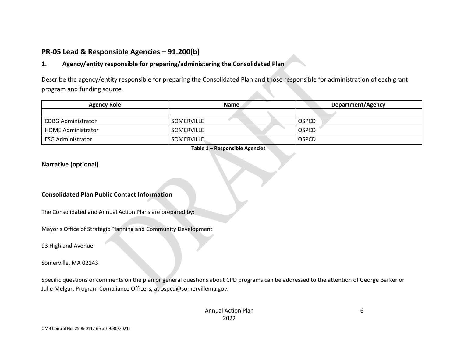# **PR-05 Lead & Responsible Agencies – 91.200(b)**

#### **1. Agency/entity responsible for preparing/administering the Consolidated Plan**

Describe the agency/entity responsible for preparing the Consolidated Plan and those responsible for administration of each grant program and funding source.

| <b>Agency Role</b>        | <b>Name</b>       | <b>Department/Agency</b> |  |
|---------------------------|-------------------|--------------------------|--|
|                           |                   |                          |  |
| <b>CDBG Administrator</b> | <b>SOMERVILLE</b> | <b>OSPCD</b>             |  |
| <b>HOME Administrator</b> | <b>SOMERVILLE</b> | <b>OSPCD</b>             |  |
| ESG Administrator         | <b>SOMERVILLE</b> | <b>OSPCD</b>             |  |

**Table 1 – Responsible Agencies**

#### <span id="page-5-0"></span>**Narrative (optional)**

#### **Consolidated Plan Public Contact Information**

The Consolidated and Annual Action Plans are prepared by:

Mayor's Office of Strategic Planning and Community Development

93 Highland Avenue

Somerville, MA 02143

Specific questions or comments on the plan or general questions about CPD programs can be addressed to the attention of George Barker or Julie Melgar, Program Compliance Officers, at ospcd@somervillema.gov.

6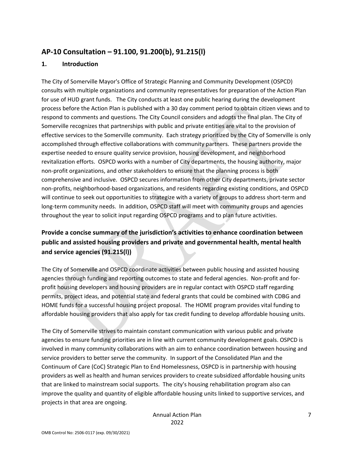# <span id="page-6-0"></span>**AP-10 Consultation – 91.100, 91.200(b), 91.215(l)**

#### **1. Introduction**

The City of Somerville Mayor's Office of Strategic Planning and Community Development (OSPCD) consults with multiple organizations and community representatives for preparation of the Action Plan for use of HUD grant funds. The City conducts at least one public hearing during the development process before the Action Plan is published with a 30 day comment period to obtain citizen views and to respond to comments and questions. The City Council considers and adopts the final plan. The City of Somerville recognizes that partnerships with public and private entities are vital to the provision of effective services to the Somerville community. Each strategy prioritized by the City of Somerville is only accomplished through effective collaborations with community partners. These partners provide the expertise needed to ensure quality service provision, housing development, and neighborhood revitalization efforts. OSPCD works with a number of City departments, the housing authority, major non-profit organizations, and other stakeholders to ensure that the planning process is both comprehensive and inclusive. OSPCD secures information from other City departments, private sector non-profits, neighborhood-based organizations, and residents regarding existing conditions, and OSPCD will continue to seek out opportunities to strategize with a variety of groups to address short-term and long-term community needs. In addition, OSPCD staff will meet with community groups and agencies throughout the year to solicit input regarding OSPCD programs and to plan future activities.

# **Provide a concise summary of the jurisdiction's activities to enhance coordination between public and assisted housing providers and private and governmental health, mental health and service agencies (91.215(l))**

The City of Somerville and OSPCD coordinate activities between public housing and assisted housing agencies through funding and reporting outcomes to state and federal agencies. Non-profit and forprofit housing developers and housing providers are in regular contact with OSPCD staff regarding permits, project ideas, and potential state and federal grants that could be combined with CDBG and HOME funds for a successful housing project proposal. The HOME program provides vital funding to affordable housing providers that also apply for tax credit funding to develop affordable housing units.

The City of Somerville strives to maintain constant communication with various public and private agencies to ensure funding priorities are in line with current community development goals. OSPCD is involved in many community collaborations with an aim to enhance coordination between housing and service providers to better serve the community. In support of the Consolidated Plan and the Continuum of Care (CoC) Strategic Plan to End Homelessness, OSPCD is in partnership with housing providers as well as health and human services providers to create subsidized affordable housing units that are linked to mainstream social supports. The city's housing rehabilitation program also can improve the quality and quantity of eligible affordable housing units linked to supportive services, and projects in that area are ongoing.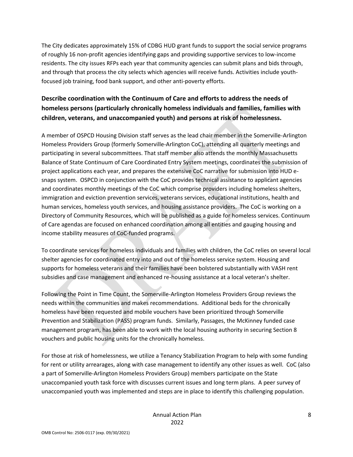The City dedicates approximately 15% of CDBG HUD grant funds to support the social service programs of roughly 16 non-profit agencies identifying gaps and providing supportive services to low-income residents. The city issues RFPs each year that community agencies can submit plans and bids through, and through that process the city selects which agencies will receive funds. Activities include youthfocused job training, food bank support, and other anti-poverty efforts.

# **Describe coordination with the Continuum of Care and efforts to address the needs of homeless persons (particularly chronically homeless individuals and families, families with children, veterans, and unaccompanied youth) and persons at risk of homelessness.**

A member of OSPCD Housing Division staff serves as the lead chair member in the Somerville-Arlington Homeless Providers Group (formerly Somerville-Arlington CoC), attending all quarterly meetings and participating in several subcommittees. That staff member also attends the monthly Massachusetts Balance of State Continuum of Care Coordinated Entry System meetings, coordinates the submission of project applications each year, and prepares the extensive CoC narrative for submission into HUD esnaps system. OSPCD in conjunction with the CoC provides technical assistance to applicant agencies and coordinates monthly meetings of the CoC which comprise providers including homeless shelters, immigration and eviction prevention services, veterans services, educational institutions, health and human services, homeless youth services, and housing assistance providers. The CoC is working on a Directory of Community Resources, which will be published as a guide for homeless services. Continuum of Care agendas are focused on enhanced coordination among all entities and gauging housing and income stability measures of CoC-funded programs.

To coordinate services for homeless individuals and families with children, the CoC relies on several local shelter agencies for coordinated entry into and out of the homeless service system. Housing and supports for homeless veterans and their families have been bolstered substantially with VASH rent subsidies and case management and enhanced re-housing assistance at a local veteran's shelter.

Following the Point in Time Count, the Somerville-Arlington Homeless Providers Group reviews the needs within the communities and makes recommendations. Additional beds for the chronically homeless have been requested and mobile vouchers have been prioritized through Somerville Prevention and Stabilization (PASS) program funds. Similarly, Passages, the McKinney funded case management program, has been able to work with the local housing authority in securing Section 8 vouchers and public housing units for the chronically homeless.

For those at risk of homelessness, we utilize a Tenancy Stabilization Program to help with some funding for rent or utility arrearages, along with case management to identify any other issues as well. CoC (also a part of Somerville-Arlington Homeless Providers Group) members participate on the State unaccompanied youth task force with discusses current issues and long term plans. A peer survey of unaccompanied youth was implemented and steps are in place to identify this challenging population.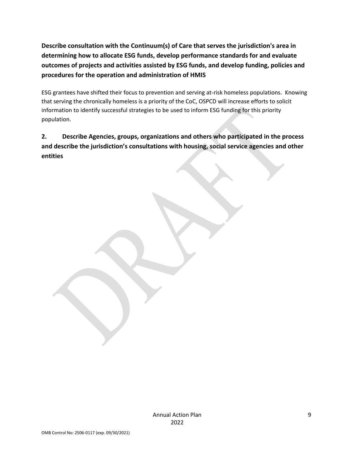**Describe consultation with the Continuum(s) of Care that serves the jurisdiction's area in determining how to allocate ESG funds, develop performance standards for and evaluate outcomes of projects and activities assisted by ESG funds, and develop funding, policies and procedures for the operation and administration of HMIS**

ESG grantees have shifted their focus to prevention and serving at-risk homeless populations. Knowing that serving the chronically homeless is a priority of the CoC, OSPCD will increase efforts to solicit information to identify successful strategies to be used to inform ESG funding for this priority population.

**2. Describe Agencies, groups, organizations and others who participated in the process and describe the jurisdiction's consultations with housing, social service agencies and other entities**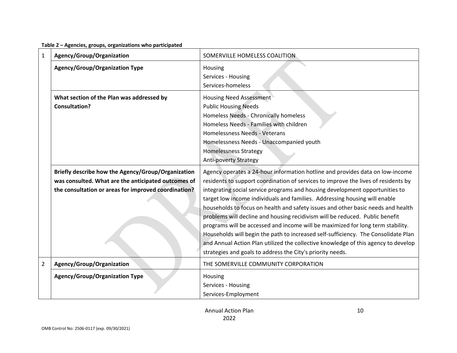|  | Table 2 - Agencies, groups, organizations who participated |  |
|--|------------------------------------------------------------|--|
|--|------------------------------------------------------------|--|

| 1              | Agency/Group/Organization                            | SOMERVILLE HOMELESS COALITION                                                      |
|----------------|------------------------------------------------------|------------------------------------------------------------------------------------|
|                | <b>Agency/Group/Organization Type</b>                | Housing                                                                            |
|                |                                                      | Services - Housing                                                                 |
|                |                                                      | Services-homeless                                                                  |
|                | What section of the Plan was addressed by            | <b>Housing Need Assessment</b>                                                     |
|                | <b>Consultation?</b>                                 | <b>Public Housing Needs</b>                                                        |
|                |                                                      | Homeless Needs - Chronically homeless                                              |
|                |                                                      | Homeless Needs - Families with children                                            |
|                |                                                      | Homelessness Needs - Veterans                                                      |
|                |                                                      | Homelessness Needs - Unaccompanied youth                                           |
|                |                                                      | <b>Homelessness Strategy</b>                                                       |
|                |                                                      | <b>Anti-poverty Strategy</b>                                                       |
|                | Briefly describe how the Agency/Group/Organization   | Agency operates a 24-hour information hotline and provides data on low-income      |
|                | was consulted. What are the anticipated outcomes of  | residents to support coordination of services to improve the lives of residents by |
|                | the consultation or areas for improved coordination? | integrating social service programs and housing development opportunities to       |
|                |                                                      | target low income individuals and families. Addressing housing will enable         |
|                |                                                      | households to focus on health and safety issues and other basic needs and health   |
|                |                                                      | problems will decline and housing recidivism will be reduced. Public benefit       |
|                |                                                      | programs will be accessed and income will be maximized for long term stability.    |
|                |                                                      | Households will begin the path to increased self-sufficiency. The Consolidate Plan |
|                |                                                      | and Annual Action Plan utilized the collective knowledge of this agency to develop |
|                |                                                      | strategies and goals to address the City's priority needs.                         |
| $\overline{2}$ | Agency/Group/Organization                            | THE SOMERVILLE COMMUNITY CORPORATION                                               |
|                | <b>Agency/Group/Organization Type</b>                | Housing                                                                            |
|                |                                                      | Services - Housing                                                                 |
|                |                                                      | Services-Employment                                                                |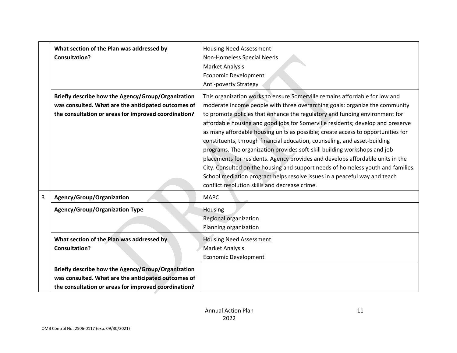|   | What section of the Plan was addressed by<br><b>Consultation?</b>                                                                                                 | <b>Housing Need Assessment</b><br>Non-Homeless Special Needs<br>Market Analysis<br><b>Economic Development</b><br>Anti-poverty Strategy                                                                                                                                                                                                                                                                                                                                                                                                                                                                                                                                                                           |
|---|-------------------------------------------------------------------------------------------------------------------------------------------------------------------|-------------------------------------------------------------------------------------------------------------------------------------------------------------------------------------------------------------------------------------------------------------------------------------------------------------------------------------------------------------------------------------------------------------------------------------------------------------------------------------------------------------------------------------------------------------------------------------------------------------------------------------------------------------------------------------------------------------------|
|   | Briefly describe how the Agency/Group/Organization                                                                                                                | This organization works to ensure Somerville remains affordable for low and                                                                                                                                                                                                                                                                                                                                                                                                                                                                                                                                                                                                                                       |
|   | was consulted. What are the anticipated outcomes of                                                                                                               | moderate income people with three overarching goals: organize the community                                                                                                                                                                                                                                                                                                                                                                                                                                                                                                                                                                                                                                       |
|   | the consultation or areas for improved coordination?                                                                                                              | to promote policies that enhance the regulatory and funding environment for<br>affordable housing and good jobs for Somerville residents; develop and preserve<br>as many affordable housing units as possible; create access to opportunities for<br>constituents, through financial education, counseling, and asset-building<br>programs. The organization provides soft-skill building workshops and job<br>placements for residents. Agency provides and develops affordable units in the<br>City. Consulted on the housing and support needs of homeless youth and families.<br>School mediation program helps resolve issues in a peaceful way and teach<br>conflict resolution skills and decrease crime. |
| 3 | Agency/Group/Organization                                                                                                                                         | <b>MAPC</b>                                                                                                                                                                                                                                                                                                                                                                                                                                                                                                                                                                                                                                                                                                       |
|   | <b>Agency/Group/Organization Type</b>                                                                                                                             | Housing<br>Regional organization<br>Planning organization                                                                                                                                                                                                                                                                                                                                                                                                                                                                                                                                                                                                                                                         |
|   | What section of the Plan was addressed by<br><b>Consultation?</b>                                                                                                 | <b>Housing Need Assessment</b><br><b>Market Analysis</b>                                                                                                                                                                                                                                                                                                                                                                                                                                                                                                                                                                                                                                                          |
|   |                                                                                                                                                                   | <b>Economic Development</b>                                                                                                                                                                                                                                                                                                                                                                                                                                                                                                                                                                                                                                                                                       |
|   | Briefly describe how the Agency/Group/Organization<br>was consulted. What are the anticipated outcomes of<br>the consultation or areas for improved coordination? |                                                                                                                                                                                                                                                                                                                                                                                                                                                                                                                                                                                                                                                                                                                   |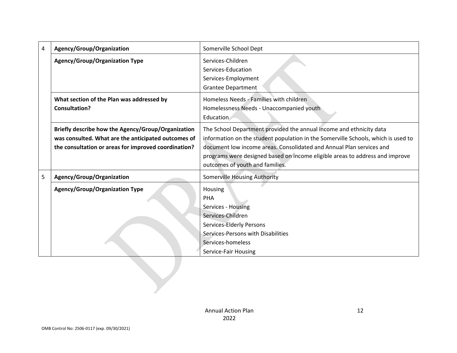| 4 | Agency/Group/Organization                                                                                                                                         | Somerville School Dept                                                                                                                                                                                                                                                                                                                              |  |
|---|-------------------------------------------------------------------------------------------------------------------------------------------------------------------|-----------------------------------------------------------------------------------------------------------------------------------------------------------------------------------------------------------------------------------------------------------------------------------------------------------------------------------------------------|--|
|   | <b>Agency/Group/Organization Type</b>                                                                                                                             | Services-Children<br>Services-Education<br>Services-Employment<br><b>Grantee Department</b>                                                                                                                                                                                                                                                         |  |
|   | What section of the Plan was addressed by<br><b>Consultation?</b>                                                                                                 | Homeless Needs - Families with children<br>Homelessness Needs - Unaccompanied youth<br>Education                                                                                                                                                                                                                                                    |  |
|   | Briefly describe how the Agency/Group/Organization<br>was consulted. What are the anticipated outcomes of<br>the consultation or areas for improved coordination? | The School Department provided the annual income and ethnicity data<br>information on the student population in the Somerville Schools, which is used to<br>document low income areas. Consolidated and Annual Plan services and<br>programs were designed based on income eligible areas to address and improve<br>outcomes of youth and families. |  |
| 5 | Agency/Group/Organization                                                                                                                                         | <b>Somerville Housing Authority</b>                                                                                                                                                                                                                                                                                                                 |  |
|   | <b>Agency/Group/Organization Type</b>                                                                                                                             | Housing<br>PHA<br>Services - Housing<br>Services-Children<br>Services-Elderly Persons<br>Services-Persons with Disabilities<br>Services-homeless<br>Service-Fair Housing                                                                                                                                                                            |  |
|   |                                                                                                                                                                   |                                                                                                                                                                                                                                                                                                                                                     |  |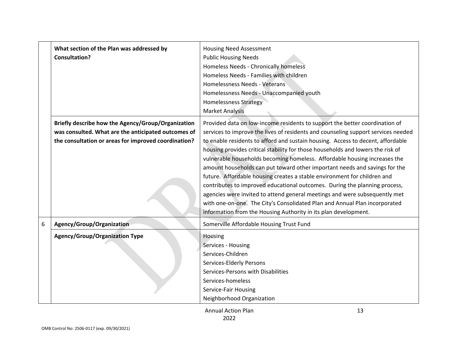|   | What section of the Plan was addressed by<br><b>Consultation?</b>                                                                                                 | <b>Housing Need Assessment</b><br><b>Public Housing Needs</b><br>Homeless Needs - Chronically homeless<br>Homeless Needs - Families with children<br>Homelessness Needs - Veterans<br>Homelessness Needs - Unaccompanied youth<br><b>Homelessness Strategy</b><br><b>Market Analysis</b>                                                                                                                                                                                                                                                                                                                                                                                                                                                                                                                                                                                                   |
|---|-------------------------------------------------------------------------------------------------------------------------------------------------------------------|--------------------------------------------------------------------------------------------------------------------------------------------------------------------------------------------------------------------------------------------------------------------------------------------------------------------------------------------------------------------------------------------------------------------------------------------------------------------------------------------------------------------------------------------------------------------------------------------------------------------------------------------------------------------------------------------------------------------------------------------------------------------------------------------------------------------------------------------------------------------------------------------|
|   | Briefly describe how the Agency/Group/Organization<br>was consulted. What are the anticipated outcomes of<br>the consultation or areas for improved coordination? | Provided data on low-income residents to support the better coordination of<br>services to improve the lives of residents and counseling support services needed<br>to enable residents to afford and sustain housing. Access to decent, affordable<br>housing provides critical stability for those households and lowers the risk of<br>vulnerable households becoming homeless. Affordable housing increases the<br>amount households can put toward other important needs and savings for the<br>future. Affordable housing creates a stable environment for children and<br>contributes to improved educational outcomes. During the planning process,<br>agencies were invited to attend general meetings and were subsequently met<br>with one-on-one. The City's Consolidated Plan and Annual Plan incorporated<br>information from the Housing Authority in its plan development. |
| 6 | Agency/Group/Organization                                                                                                                                         | Somerville Affordable Housing Trust Fund                                                                                                                                                                                                                                                                                                                                                                                                                                                                                                                                                                                                                                                                                                                                                                                                                                                   |
|   | <b>Agency/Group/Organization Type</b>                                                                                                                             | Housing<br>Services - Housing<br>Services-Children<br>Services-Elderly Persons<br>Services-Persons with Disabilities<br>Services-homeless<br>Service-Fair Housing<br>Neighborhood Organization                                                                                                                                                                                                                                                                                                                                                                                                                                                                                                                                                                                                                                                                                             |
|   |                                                                                                                                                                   | <b>Annual Action Plan</b><br>13                                                                                                                                                                                                                                                                                                                                                                                                                                                                                                                                                                                                                                                                                                                                                                                                                                                            |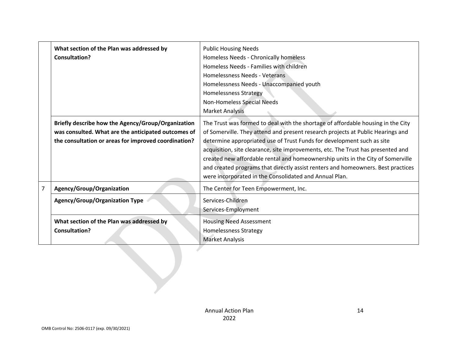|                | What section of the Plan was addressed by<br><b>Consultation?</b>                                                                                                 | <b>Public Housing Needs</b><br>Homeless Needs - Chronically homeless<br>Homeless Needs - Families with children<br>Homelessness Needs - Veterans<br>Homelessness Needs - Unaccompanied youth<br><b>Homelessness Strategy</b><br>Non-Homeless Special Needs<br><b>Market Analysis</b>                                                                                                                                                                                                                                                                               |
|----------------|-------------------------------------------------------------------------------------------------------------------------------------------------------------------|--------------------------------------------------------------------------------------------------------------------------------------------------------------------------------------------------------------------------------------------------------------------------------------------------------------------------------------------------------------------------------------------------------------------------------------------------------------------------------------------------------------------------------------------------------------------|
|                | Briefly describe how the Agency/Group/Organization<br>was consulted. What are the anticipated outcomes of<br>the consultation or areas for improved coordination? | The Trust was formed to deal with the shortage of affordable housing in the City<br>of Somerville. They attend and present research projects at Public Hearings and<br>determine appropriated use of Trust Funds for development such as site<br>acquisition, site clearance, site improvements, etc. The Trust has presented and<br>created new affordable rental and homeownership units in the City of Somerville<br>and created programs that directly assist renters and homeowners. Best practices<br>were incorporated in the Consolidated and Annual Plan. |
| $\overline{7}$ | Agency/Group/Organization                                                                                                                                         | The Center for Teen Empowerment, Inc.                                                                                                                                                                                                                                                                                                                                                                                                                                                                                                                              |
|                | <b>Agency/Group/Organization Type</b>                                                                                                                             | Services-Children<br>Services-Employment                                                                                                                                                                                                                                                                                                                                                                                                                                                                                                                           |
|                | What section of the Plan was addressed by<br><b>Consultation?</b>                                                                                                 | <b>Housing Need Assessment</b><br><b>Homelessness Strategy</b><br><b>Market Analysis</b>                                                                                                                                                                                                                                                                                                                                                                                                                                                                           |
|                |                                                                                                                                                                   |                                                                                                                                                                                                                                                                                                                                                                                                                                                                                                                                                                    |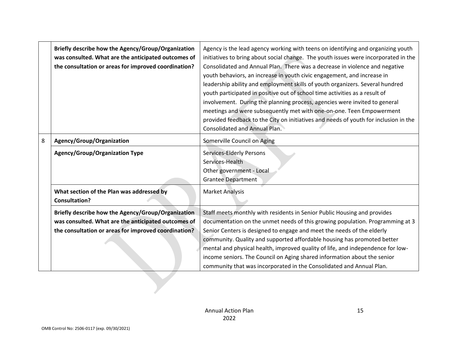|   | Briefly describe how the Agency/Group/Organization<br>was consulted. What are the anticipated outcomes of<br>the consultation or areas for improved coordination? | Agency is the lead agency working with teens on identifying and organizing youth<br>initiatives to bring about social change. The youth issues were incorporated in the<br>Consolidated and Annual Plan. There was a decrease in violence and negative<br>youth behaviors, an increase in youth civic engagement, and increase in<br>leadership ability and employment skills of youth organizers. Several hundred<br>youth participated in positive out of school time activities as a result of<br>involvement. During the planning process, agencies were invited to general<br>meetings and were subsequently met with one-on-one. Teen Empowerment<br>provided feedback to the City on initiatives and needs of youth for inclusion in the<br><b>Consolidated and Annual Plan.</b> |
|---|-------------------------------------------------------------------------------------------------------------------------------------------------------------------|-----------------------------------------------------------------------------------------------------------------------------------------------------------------------------------------------------------------------------------------------------------------------------------------------------------------------------------------------------------------------------------------------------------------------------------------------------------------------------------------------------------------------------------------------------------------------------------------------------------------------------------------------------------------------------------------------------------------------------------------------------------------------------------------|
| 8 | Agency/Group/Organization                                                                                                                                         | Somerville Council on Aging                                                                                                                                                                                                                                                                                                                                                                                                                                                                                                                                                                                                                                                                                                                                                             |
|   | <b>Agency/Group/Organization Type</b>                                                                                                                             | Services-Elderly Persons<br>Services-Health<br>Other government - Local<br><b>Grantee Department</b>                                                                                                                                                                                                                                                                                                                                                                                                                                                                                                                                                                                                                                                                                    |
|   | What section of the Plan was addressed by<br>Consultation?                                                                                                        | <b>Market Analysis</b>                                                                                                                                                                                                                                                                                                                                                                                                                                                                                                                                                                                                                                                                                                                                                                  |
|   | Briefly describe how the Agency/Group/Organization<br>was consulted. What are the anticipated outcomes of<br>the consultation or areas for improved coordination? | Staff meets monthly with residents in Senior Public Housing and provides<br>documentation on the unmet needs of this growing population. Programming at 3<br>Senior Centers is designed to engage and meet the needs of the elderly<br>community. Quality and supported affordable housing has promoted better<br>mental and physical health, improved quality of life, and independence for low-<br>income seniors. The Council on Aging shared information about the senior<br>community that was incorporated in the Consolidated and Annual Plan.                                                                                                                                                                                                                                   |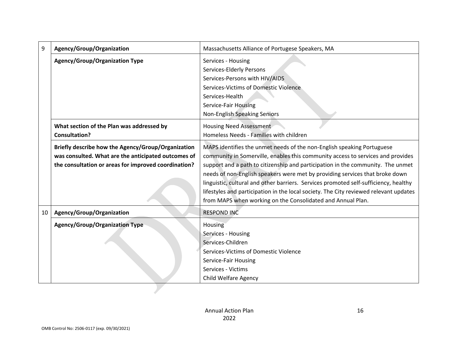| 9  | Agency/Group/Organization                            | Massachusetts Alliance of Portugese Speakers, MA                                      |
|----|------------------------------------------------------|---------------------------------------------------------------------------------------|
|    | <b>Agency/Group/Organization Type</b>                | Services - Housing                                                                    |
|    |                                                      | Services-Elderly Persons                                                              |
|    |                                                      | Services-Persons with HIV/AIDS                                                        |
|    |                                                      | Services-Victims of Domestic Violence                                                 |
|    |                                                      | Services-Health                                                                       |
|    |                                                      | <b>Service-Fair Housing</b>                                                           |
|    |                                                      | Non-English Speaking Seniors                                                          |
|    | What section of the Plan was addressed by            | <b>Housing Need Assessment</b>                                                        |
|    | <b>Consultation?</b>                                 | Homeless Needs - Families with children                                               |
|    | Briefly describe how the Agency/Group/Organization   | MAPS identifies the unmet needs of the non-English speaking Portuguese                |
|    | was consulted. What are the anticipated outcomes of  | community in Somerville, enables this community access to services and provides       |
|    | the consultation or areas for improved coordination? | support and a path to citizenship and participation in the community. The unmet       |
|    |                                                      | needs of non-English speakers were met by providing services that broke down          |
|    |                                                      | linguistic, cultural and other barriers. Services promoted self-sufficiency, healthy  |
|    |                                                      | lifestyles and participation in the local society. The City reviewed relevant updates |
|    |                                                      | from MAPS when working on the Consolidated and Annual Plan.                           |
| 10 | Agency/Group/Organization                            | <b>RESPOND INC</b>                                                                    |
|    |                                                      |                                                                                       |
|    | <b>Agency/Group/Organization Type</b>                | Housing                                                                               |
|    |                                                      | Services - Housing                                                                    |
|    |                                                      | Services-Children                                                                     |
|    |                                                      | Services-Victims of Domestic Violence                                                 |
|    |                                                      | Service-Fair Housing                                                                  |
|    |                                                      | Services - Victims                                                                    |
|    |                                                      | Child Welfare Agency                                                                  |
|    |                                                      |                                                                                       |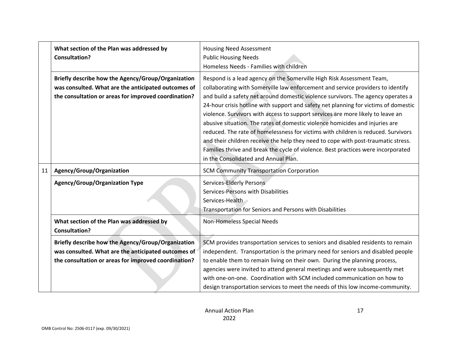|    | What section of the Plan was addressed by<br><b>Consultation?</b>                                                                                                 | <b>Housing Need Assessment</b><br><b>Public Housing Needs</b><br>Homeless Needs - Families with children                                                                                                                                                                                                                                                                                                                                                                                                                                                                                                                                                                                                                                                                                                      |
|----|-------------------------------------------------------------------------------------------------------------------------------------------------------------------|---------------------------------------------------------------------------------------------------------------------------------------------------------------------------------------------------------------------------------------------------------------------------------------------------------------------------------------------------------------------------------------------------------------------------------------------------------------------------------------------------------------------------------------------------------------------------------------------------------------------------------------------------------------------------------------------------------------------------------------------------------------------------------------------------------------|
|    | Briefly describe how the Agency/Group/Organization<br>was consulted. What are the anticipated outcomes of<br>the consultation or areas for improved coordination? | Respond is a lead agency on the Somerville High Risk Assessment Team,<br>collaborating with Somerville law enforcement and service providers to identify<br>and build a safety net around domestic violence survivors. The agency operates a<br>24-hour crisis hotline with support and safety net planning for victims of domestic<br>violence. Survivors with access to support services are more likely to leave an<br>abusive situation. The rates of domestic violence homicides and injuries are<br>reduced. The rate of homelessness for victims with children is reduced. Survivors<br>and their children receive the help they need to cope with post-traumatic stress.<br>Families thrive and break the cycle of violence. Best practices were incorporated<br>in the Consolidated and Annual Plan. |
| 11 | Agency/Group/Organization                                                                                                                                         | <b>SCM Community Transportation Corporation</b>                                                                                                                                                                                                                                                                                                                                                                                                                                                                                                                                                                                                                                                                                                                                                               |
|    | <b>Agency/Group/Organization Type</b>                                                                                                                             | Services-Elderly Persons<br>Services-Persons with Disabilities<br>Services-Health<br>Transportation for Seniors and Persons with Disabilities                                                                                                                                                                                                                                                                                                                                                                                                                                                                                                                                                                                                                                                                 |
|    | What section of the Plan was addressed by<br><b>Consultation?</b>                                                                                                 | Non-Homeless Special Needs                                                                                                                                                                                                                                                                                                                                                                                                                                                                                                                                                                                                                                                                                                                                                                                    |
|    | Briefly describe how the Agency/Group/Organization<br>was consulted. What are the anticipated outcomes of<br>the consultation or areas for improved coordination? | SCM provides transportation services to seniors and disabled residents to remain<br>independent. Transportation is the primary need for seniors and disabled people<br>to enable them to remain living on their own. During the planning process,<br>agencies were invited to attend general meetings and were subsequently met<br>with one-on-one. Coordination with SCM included communication on how to<br>design transportation services to meet the needs of this low income-community.                                                                                                                                                                                                                                                                                                                  |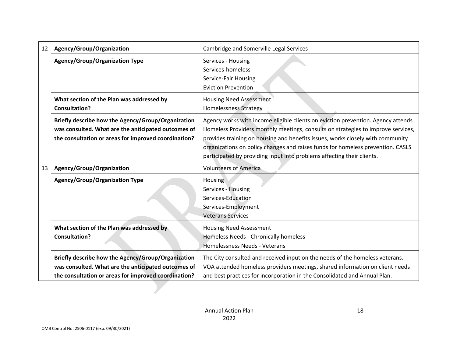| <b>Agency/Group/Organization Type</b><br>Services - Housing<br>Services-homeless<br>Service-Fair Housing<br><b>Eviction Prevention</b><br>What section of the Plan was addressed by<br><b>Housing Need Assessment</b><br><b>Consultation?</b><br><b>Homelessness Strategy</b><br>Briefly describe how the Agency/Group/Organization<br>Agency works with income eligible clients on eviction prevention. Agency attends<br>was consulted. What are the anticipated outcomes of<br>the consultation or areas for improved coordination?<br>provides training on housing and benefits issues, works closely with community<br>organizations on policy changes and raises funds for homeless prevention. CASLS<br>participated by providing input into problems affecting their clients.<br><b>Volunteers of America</b><br>Agency/Group/Organization<br>13<br><b>Agency/Group/Organization Type</b><br>Housing<br>Services - Housing<br>Services-Education<br>Services-Employment<br><b>Veterans Services</b><br>What section of the Plan was addressed by<br><b>Housing Need Assessment</b><br>Homeless Needs - Chronically homeless<br><b>Consultation?</b><br>Homelessness Needs - Veterans | 12 | Agency/Group/Organization | Cambridge and Somerville Legal Services                                          |
|----------------------------------------------------------------------------------------------------------------------------------------------------------------------------------------------------------------------------------------------------------------------------------------------------------------------------------------------------------------------------------------------------------------------------------------------------------------------------------------------------------------------------------------------------------------------------------------------------------------------------------------------------------------------------------------------------------------------------------------------------------------------------------------------------------------------------------------------------------------------------------------------------------------------------------------------------------------------------------------------------------------------------------------------------------------------------------------------------------------------------------------------------------------------------------------------|----|---------------------------|----------------------------------------------------------------------------------|
|                                                                                                                                                                                                                                                                                                                                                                                                                                                                                                                                                                                                                                                                                                                                                                                                                                                                                                                                                                                                                                                                                                                                                                                              |    |                           |                                                                                  |
|                                                                                                                                                                                                                                                                                                                                                                                                                                                                                                                                                                                                                                                                                                                                                                                                                                                                                                                                                                                                                                                                                                                                                                                              |    |                           |                                                                                  |
|                                                                                                                                                                                                                                                                                                                                                                                                                                                                                                                                                                                                                                                                                                                                                                                                                                                                                                                                                                                                                                                                                                                                                                                              |    |                           | Homeless Providers monthly meetings, consults on strategies to improve services, |
|                                                                                                                                                                                                                                                                                                                                                                                                                                                                                                                                                                                                                                                                                                                                                                                                                                                                                                                                                                                                                                                                                                                                                                                              |    |                           |                                                                                  |
|                                                                                                                                                                                                                                                                                                                                                                                                                                                                                                                                                                                                                                                                                                                                                                                                                                                                                                                                                                                                                                                                                                                                                                                              |    |                           |                                                                                  |
|                                                                                                                                                                                                                                                                                                                                                                                                                                                                                                                                                                                                                                                                                                                                                                                                                                                                                                                                                                                                                                                                                                                                                                                              |    |                           |                                                                                  |
| Briefly describe how the Agency/Group/Organization<br>The City consulted and received input on the needs of the homeless veterans.<br>was consulted. What are the anticipated outcomes of<br>VOA attended homeless providers meetings, shared information on client needs<br>and best practices for incorporation in the Consolidated and Annual Plan.<br>the consultation or areas for improved coordination?                                                                                                                                                                                                                                                                                                                                                                                                                                                                                                                                                                                                                                                                                                                                                                               |    |                           |                                                                                  |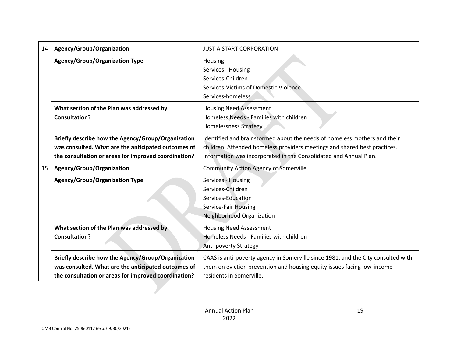| 14 | Agency/Group/Organization                                                                                                                                         | <b>JUST A START CORPORATION</b>                                                                                                                                                                                             |  |  |  |  |
|----|-------------------------------------------------------------------------------------------------------------------------------------------------------------------|-----------------------------------------------------------------------------------------------------------------------------------------------------------------------------------------------------------------------------|--|--|--|--|
|    | <b>Agency/Group/Organization Type</b>                                                                                                                             | Housing<br>Services - Housing<br>Services-Children<br>Services-Victims of Domestic Violence<br>Services-homeless                                                                                                            |  |  |  |  |
|    | What section of the Plan was addressed by<br><b>Consultation?</b>                                                                                                 | <b>Housing Need Assessment</b><br>Homeless Needs - Families with children<br><b>Homelessness Strategy</b>                                                                                                                   |  |  |  |  |
|    | Briefly describe how the Agency/Group/Organization<br>was consulted. What are the anticipated outcomes of<br>the consultation or areas for improved coordination? | Identified and brainstormed about the needs of homeless mothers and their<br>children. Attended homeless providers meetings and shared best practices.<br>Information was incorporated in the Consolidated and Annual Plan. |  |  |  |  |
| 15 | Agency/Group/Organization                                                                                                                                         | <b>Community Action Agency of Somerville</b>                                                                                                                                                                                |  |  |  |  |
|    | <b>Agency/Group/Organization Type</b>                                                                                                                             | Services - Housing<br>Services-Children<br>Services-Education<br><b>Service-Fair Housing</b><br>Neighborhood Organization                                                                                                   |  |  |  |  |
|    | What section of the Plan was addressed by<br><b>Consultation?</b>                                                                                                 | <b>Housing Need Assessment</b><br>Homeless Needs - Families with children<br><b>Anti-poverty Strategy</b>                                                                                                                   |  |  |  |  |
|    | Briefly describe how the Agency/Group/Organization<br>was consulted. What are the anticipated outcomes of<br>the consultation or areas for improved coordination? | CAAS is anti-poverty agency in Somerville since 1981, and the City consulted with<br>them on eviction prevention and housing equity issues facing low-income<br>residents in Somerville.                                    |  |  |  |  |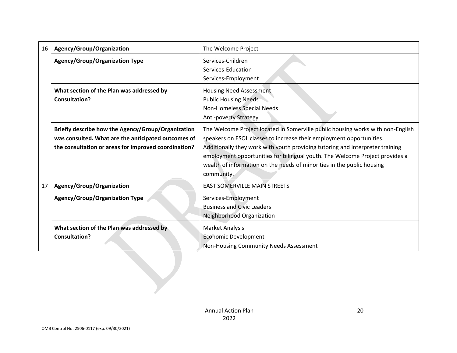| 16 | Agency/Group/Organization                                                                                                                                         | The Welcome Project                                                                                                                                                                                                                                                                                                                                                                                              |  |  |  |  |
|----|-------------------------------------------------------------------------------------------------------------------------------------------------------------------|------------------------------------------------------------------------------------------------------------------------------------------------------------------------------------------------------------------------------------------------------------------------------------------------------------------------------------------------------------------------------------------------------------------|--|--|--|--|
|    | <b>Agency/Group/Organization Type</b>                                                                                                                             | Services-Children<br>Services-Education<br>Services-Employment                                                                                                                                                                                                                                                                                                                                                   |  |  |  |  |
|    | What section of the Plan was addressed by<br><b>Consultation?</b>                                                                                                 | <b>Housing Need Assessment</b><br><b>Public Housing Needs</b><br>Non-Homeless Special Needs<br>Anti-poverty Strategy                                                                                                                                                                                                                                                                                             |  |  |  |  |
|    | Briefly describe how the Agency/Group/Organization<br>was consulted. What are the anticipated outcomes of<br>the consultation or areas for improved coordination? | The Welcome Project located in Somerville public housing works with non-English<br>speakers on ESOL classes to increase their employment opportunities.<br>Additionally they work with youth providing tutoring and interpreter training<br>employment opportunities for bilingual youth. The Welcome Project provides a<br>wealth of information on the needs of minorities in the public housing<br>community. |  |  |  |  |
| 17 | Agency/Group/Organization                                                                                                                                         | <b>EAST SOMERVILLE MAIN STREETS</b>                                                                                                                                                                                                                                                                                                                                                                              |  |  |  |  |
|    | <b>Agency/Group/Organization Type</b>                                                                                                                             | Services-Employment<br><b>Business and Civic Leaders</b><br>Neighborhood Organization                                                                                                                                                                                                                                                                                                                            |  |  |  |  |
|    | What section of the Plan was addressed by<br><b>Consultation?</b>                                                                                                 | <b>Market Analysis</b><br><b>Economic Development</b><br>Non-Housing Community Needs Assessment                                                                                                                                                                                                                                                                                                                  |  |  |  |  |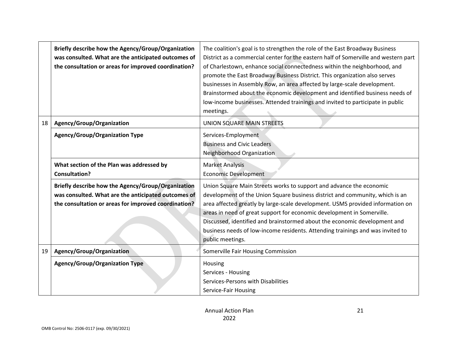|    | Briefly describe how the Agency/Group/Organization<br>was consulted. What are the anticipated outcomes of<br>the consultation or areas for improved coordination? | The coalition's goal is to strengthen the role of the East Broadway Business<br>District as a commercial center for the eastern half of Somerville and western part<br>of Charlestown, enhance social connectedness within the neighborhood, and<br>promote the East Broadway Business District. This organization also serves<br>businesses in Assembly Row, an area affected by large-scale development.<br>Brainstormed about the economic development and identified business needs of<br>low-income businesses. Attended trainings and invited to participate in public<br>meetings. |
|----|-------------------------------------------------------------------------------------------------------------------------------------------------------------------|-------------------------------------------------------------------------------------------------------------------------------------------------------------------------------------------------------------------------------------------------------------------------------------------------------------------------------------------------------------------------------------------------------------------------------------------------------------------------------------------------------------------------------------------------------------------------------------------|
| 18 | Agency/Group/Organization                                                                                                                                         | UNION SQUARE MAIN STREETS                                                                                                                                                                                                                                                                                                                                                                                                                                                                                                                                                                 |
|    | <b>Agency/Group/Organization Type</b>                                                                                                                             | Services-Employment<br><b>Business and Civic Leaders</b><br>Neighborhood Organization                                                                                                                                                                                                                                                                                                                                                                                                                                                                                                     |
|    | What section of the Plan was addressed by<br><b>Consultation?</b>                                                                                                 | <b>Market Analysis</b><br><b>Economic Development</b>                                                                                                                                                                                                                                                                                                                                                                                                                                                                                                                                     |
|    | Briefly describe how the Agency/Group/Organization<br>was consulted. What are the anticipated outcomes of<br>the consultation or areas for improved coordination? | Union Square Main Streets works to support and advance the economic<br>development of the Union Square business district and community, which is an<br>area affected greatly by large-scale development. USMS provided information on<br>areas in need of great support for economic development in Somerville.<br>Discussed, identified and brainstormed about the economic development and<br>business needs of low-income residents. Attending trainings and was invited to<br>public meetings.                                                                                        |
| 19 | Agency/Group/Organization                                                                                                                                         | Somerville Fair Housing Commission                                                                                                                                                                                                                                                                                                                                                                                                                                                                                                                                                        |
|    | <b>Agency/Group/Organization Type</b>                                                                                                                             | Housing<br>Services - Housing<br>Services-Persons with Disabilities<br>Service-Fair Housing                                                                                                                                                                                                                                                                                                                                                                                                                                                                                               |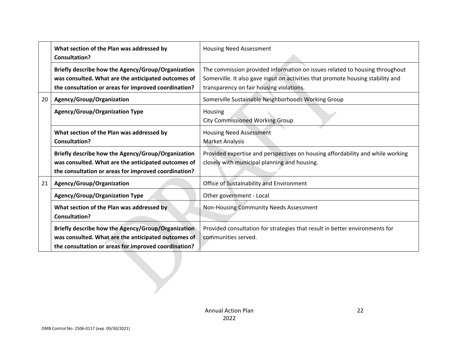|    | What section of the Plan was addressed by<br><b>Consultation?</b>                                                                                                 | <b>Housing Need Assessment</b>                                                                                                                                                                             |  |  |  |  |
|----|-------------------------------------------------------------------------------------------------------------------------------------------------------------------|------------------------------------------------------------------------------------------------------------------------------------------------------------------------------------------------------------|--|--|--|--|
|    | Briefly describe how the Agency/Group/Organization<br>was consulted. What are the anticipated outcomes of<br>the consultation or areas for improved coordination? | The commission provided information on issues related to housing throughout<br>Somerville. It also gave input on activities that promote housing stability and<br>transparency on fair housing violations. |  |  |  |  |
| 20 | Agency/Group/Organization                                                                                                                                         | Somerville Sustainable Neighborhoods Working Group                                                                                                                                                         |  |  |  |  |
|    | <b>Agency/Group/Organization Type</b>                                                                                                                             | Housing<br><b>City Commissioned Working Group</b>                                                                                                                                                          |  |  |  |  |
|    | What section of the Plan was addressed by<br><b>Consultation?</b>                                                                                                 | <b>Housing Need Assessment</b><br><b>Market Analysis</b>                                                                                                                                                   |  |  |  |  |
|    | Briefly describe how the Agency/Group/Organization<br>was consulted. What are the anticipated outcomes of<br>the consultation or areas for improved coordination? | Provided expertise and perspectives on housing affordability and while working<br>closely with municipal planning and housing.                                                                             |  |  |  |  |
| 21 | Agency/Group/Organization                                                                                                                                         | Office of Sustainability and Environment                                                                                                                                                                   |  |  |  |  |
|    | <b>Agency/Group/Organization Type</b>                                                                                                                             | Other government - Local                                                                                                                                                                                   |  |  |  |  |
|    | What section of the Plan was addressed by<br><b>Consultation?</b>                                                                                                 | Non-Housing Community Needs Assessment                                                                                                                                                                     |  |  |  |  |
|    | Briefly describe how the Agency/Group/Organization<br>was consulted. What are the anticipated outcomes of<br>the consultation or areas for improved coordination? | Provided consultation for strategies that result in better environments for<br>communities served.                                                                                                         |  |  |  |  |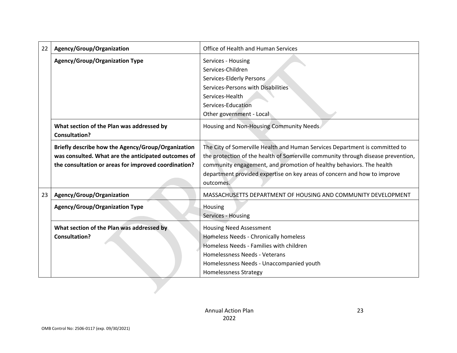| 22 | Agency/Group/Organization                                         | Office of Health and Human Services                                              |  |  |  |  |
|----|-------------------------------------------------------------------|----------------------------------------------------------------------------------|--|--|--|--|
|    | <b>Agency/Group/Organization Type</b>                             | Services - Housing                                                               |  |  |  |  |
|    |                                                                   | Services-Children                                                                |  |  |  |  |
|    |                                                                   | Services-Elderly Persons                                                         |  |  |  |  |
|    |                                                                   | Services-Persons with Disabilities                                               |  |  |  |  |
|    |                                                                   | Services-Health                                                                  |  |  |  |  |
|    |                                                                   | Services-Education                                                               |  |  |  |  |
|    |                                                                   | Other government - Local                                                         |  |  |  |  |
|    | What section of the Plan was addressed by<br><b>Consultation?</b> | Housing and Non-Housing Community Needs                                          |  |  |  |  |
|    | Briefly describe how the Agency/Group/Organization                | The City of Somerville Health and Human Services Department is committed to      |  |  |  |  |
|    | was consulted. What are the anticipated outcomes of               | the protection of the health of Somerville community through disease prevention, |  |  |  |  |
|    | the consultation or areas for improved coordination?              | community engagement, and promotion of healthy behaviors. The health             |  |  |  |  |
|    |                                                                   | department provided expertise on key areas of concern and how to improve         |  |  |  |  |
|    |                                                                   | outcomes.                                                                        |  |  |  |  |
| 23 | Agency/Group/Organization                                         | MASSACHUSETTS DEPARTMENT OF HOUSING AND COMMUNITY DEVELOPMENT                    |  |  |  |  |
|    | <b>Agency/Group/Organization Type</b>                             | Housing                                                                          |  |  |  |  |
|    |                                                                   | Services - Housing                                                               |  |  |  |  |
|    | What section of the Plan was addressed by                         | <b>Housing Need Assessment</b>                                                   |  |  |  |  |
|    | <b>Consultation?</b>                                              | Homeless Needs - Chronically homeless                                            |  |  |  |  |
|    |                                                                   | Homeless Needs - Families with children                                          |  |  |  |  |
|    |                                                                   | Homelessness Needs - Veterans                                                    |  |  |  |  |
|    |                                                                   | Homelessness Needs - Unaccompanied youth                                         |  |  |  |  |
|    |                                                                   | <b>Homelessness Strategy</b>                                                     |  |  |  |  |
|    |                                                                   |                                                                                  |  |  |  |  |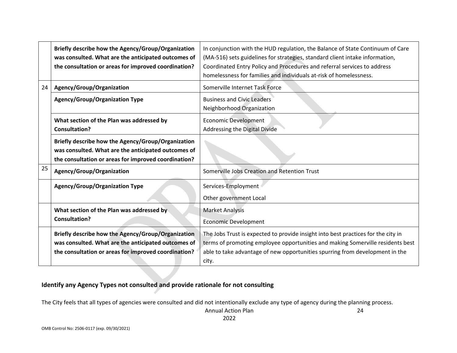|    | Briefly describe how the Agency/Group/Organization<br>was consulted. What are the anticipated outcomes of<br>the consultation or areas for improved coordination? | In conjunction with the HUD regulation, the Balance of State Continuum of Care<br>(MA-516) sets guidelines for strategies, standard client intake information,<br>Coordinated Entry Policy and Procedures and referral services to address<br>homelessness for families and individuals at-risk of homelessness. |
|----|-------------------------------------------------------------------------------------------------------------------------------------------------------------------|------------------------------------------------------------------------------------------------------------------------------------------------------------------------------------------------------------------------------------------------------------------------------------------------------------------|
| 24 | Agency/Group/Organization                                                                                                                                         | Somerville Internet Task Force                                                                                                                                                                                                                                                                                   |
|    | <b>Agency/Group/Organization Type</b>                                                                                                                             | <b>Business and Civic Leaders</b><br>Neighborhood Organization                                                                                                                                                                                                                                                   |
|    | What section of the Plan was addressed by<br><b>Consultation?</b>                                                                                                 | <b>Economic Development</b><br>Addressing the Digital Divide                                                                                                                                                                                                                                                     |
|    | Briefly describe how the Agency/Group/Organization<br>was consulted. What are the anticipated outcomes of<br>the consultation or areas for improved coordination? |                                                                                                                                                                                                                                                                                                                  |
| 25 | Agency/Group/Organization                                                                                                                                         | Somerville Jobs Creation and Retention Trust                                                                                                                                                                                                                                                                     |
|    | <b>Agency/Group/Organization Type</b>                                                                                                                             | Services-Employment<br>Other government Local                                                                                                                                                                                                                                                                    |
|    | What section of the Plan was addressed by<br><b>Consultation?</b>                                                                                                 | <b>Market Analysis</b><br><b>Economic Development</b>                                                                                                                                                                                                                                                            |
|    | Briefly describe how the Agency/Group/Organization<br>was consulted. What are the anticipated outcomes of<br>the consultation or areas for improved coordination? | The Jobs Trust is expected to provide insight into best practices for the city in<br>terms of promoting employee opportunities and making Somerville residents best<br>able to take advantage of new opportunities spurring from development in the<br>city.                                                     |

#### **Identify any Agency Types not consulted and provide rationale for not consulting**

The City feels that all types of agencies were consulted and did not intentionally exclude any type of agency during the planning process.

Annual Action Plan 2022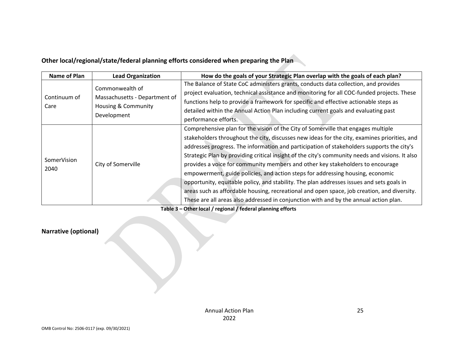## **Other local/regional/state/federal planning efforts considered when preparing the Plan**

| Name of Plan | <b>Lead Organization</b>      | How do the goals of your Strategic Plan overlap with the goals of each plan?                    |
|--------------|-------------------------------|-------------------------------------------------------------------------------------------------|
|              |                               | The Balance of State CoC administers grants, conducts data collection, and provides             |
|              | Commonwealth of               | project evaluation, technical assistance and monitoring for all COC-funded projects. These      |
| Continuum of | Massachusetts - Department of | functions help to provide a framework for specific and effective actionable steps as            |
| Care         | Housing & Community           | detailed within the Annual Action Plan including current goals and evaluating past              |
|              | Development                   | performance efforts.                                                                            |
|              |                               | Comprehensive plan for the vision of the City of Somerville that engages multiple               |
|              | City of Somerville            | stakeholders throughout the city, discusses new ideas for the city, examines priorities, and    |
|              |                               | addresses progress. The information and participation of stakeholders supports the city's       |
|              |                               | Strategic Plan by providing critical insight of the city's community needs and visions. It also |
| SomerVision  |                               | provides a voice for community members and other key stakeholders to encourage                  |
| 2040         |                               | empowerment, guide policies, and action steps for addressing housing, economic                  |
|              |                               | opportunity, equitable policy, and stability. The plan addresses issues and sets goals in       |
|              |                               | areas such as affordable housing, recreational and open space, job creation, and diversity.     |
|              |                               | These are all areas also addressed in conjunction with and by the annual action plan.           |

**Table 3 – Other local / regional / federal planning efforts**

## **Narrative (optional)**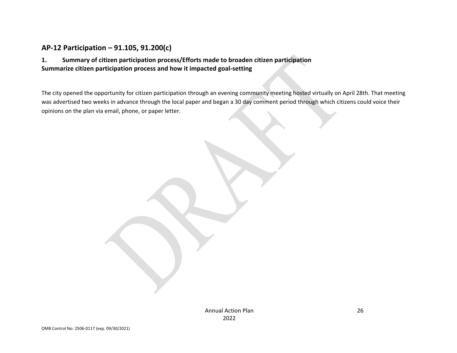## **AP-12 Participation – 91.105, 91.200(c)**

#### **1. Summary of citizen participation process/Efforts made to broaden citizen participation Summarize citizen participation process and how it impacted goal-setting**

<span id="page-25-0"></span>The city opened the opportunity for citizen participation through an evening community meeting hosted virtually on April 28th. That meeting was advertised two weeks in advance through the local paper and began a 30 day comment period through which citizens could voice their opinions on the plan via email, phone, or paper letter.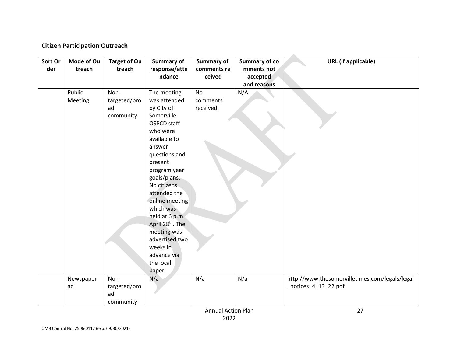#### **Citizen Participation Outreach**

| Sort Or | Mode of Ou | <b>Target of Ou</b> | <b>Summary of</b>            | <b>Summary of</b> | <b>Summary of co</b> | <b>URL</b> (If applicable)                     |
|---------|------------|---------------------|------------------------------|-------------------|----------------------|------------------------------------------------|
| der     | treach     | treach              | response/atte                | comments re       | mments not           |                                                |
|         |            |                     | ndance                       | ceived            | accepted             |                                                |
|         |            |                     |                              |                   | and reasons          |                                                |
|         | Public     | Non-                | The meeting                  | <b>No</b>         | N/A                  |                                                |
|         | Meeting    | targeted/bro        | was attended                 | comments          |                      |                                                |
|         |            | ad                  | by City of                   | received.         |                      |                                                |
|         |            | community           | Somerville                   |                   |                      |                                                |
|         |            |                     | OSPCD staff                  |                   |                      |                                                |
|         |            |                     | who were                     |                   |                      |                                                |
|         |            |                     | available to                 |                   |                      |                                                |
|         |            |                     | answer                       |                   |                      |                                                |
|         |            |                     | questions and                |                   |                      |                                                |
|         |            |                     | present                      |                   |                      |                                                |
|         |            |                     | program year                 |                   |                      |                                                |
|         |            |                     | goals/plans.                 |                   |                      |                                                |
|         |            |                     | No citizens                  |                   |                      |                                                |
|         |            |                     | attended the                 |                   |                      |                                                |
|         |            |                     | online meeting               |                   |                      |                                                |
|         |            |                     | which was                    |                   |                      |                                                |
|         |            |                     | held at 6 p.m.               |                   |                      |                                                |
|         |            |                     | April 28 <sup>th</sup> . The |                   |                      |                                                |
|         |            |                     | meeting was                  |                   |                      |                                                |
|         |            |                     | advertised two               |                   |                      |                                                |
|         |            |                     | weeks in                     |                   |                      |                                                |
|         |            |                     | advance via                  |                   |                      |                                                |
|         |            |                     | the local                    |                   |                      |                                                |
|         |            |                     | paper.                       |                   |                      |                                                |
|         | Newspaper  | Non-                | N/a                          | N/a               | N/a                  | http://www.thesomervilletimes.com/legals/legal |
|         | ad         | targeted/bro        |                              |                   |                      | _notices_4_13_22.pdf                           |
|         |            | ad                  |                              |                   |                      |                                                |
|         |            | community           |                              |                   |                      |                                                |
|         |            |                     |                              |                   |                      |                                                |

Annual Action Plan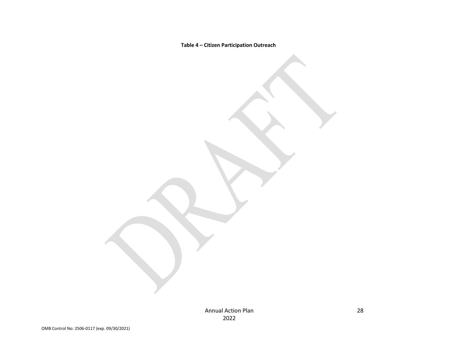**Table 4 – Citizen Participation Outreach**

Annual Action Plan 2022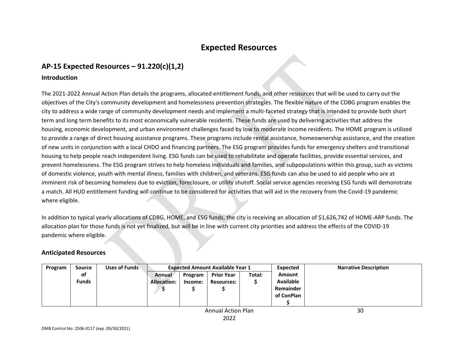# **Expected Resources**

# **AP-15 Expected Resources – 91.220(c)(1,2)**

#### **Introduction**

<span id="page-29-0"></span>The 2021-2022 Annual Action Plan details the programs, allocated entitlement funds, and other resources that will be used to carry out the objectives of the City's community development and homelessness prevention strategies. The flexible nature of the CDBG program enables the city to address a wide range of community development needs and implement a multi-faceted strategy that is intended to provide both short term and long term benefits to its most economically vulnerable residents. These funds are used by delivering activities that address the housing, economic development, and urban environment challenges faced by low to moderate income residents. The HOME program is utilized to provide a range of direct housing assistance programs. These programs include rental assistance, homeownership assistance, and the creation of new units in conjunction with a local CHDO and financing partners. The ESG program provides funds for emergency shelters and transitional housing to help people reach independent living. ESG funds can be used to rehabilitate and operate facilities, provide essential services, and prevent homelessness. The ESG program strives to help homeless individuals and families, and subpopulations within this group, such as victims of domestic violence, youth with mental illness, families with children, and veterans. ESG funds can also be used to aid people who are at imminent risk of becoming homeless due to eviction, foreclosure, or utility shutoff. Social service agencies receiving ESG funds will demonstrate a match. All HUD entitlement funding will continue to be considered for activities that will aid in the recovery from the Covid-19 pandemic where eligible.

<span id="page-29-1"></span>In addition to typical yearly allocations of CDBG, HOME, and ESG funds, the city is receiving an allocation of \$1,626,742 of HOME-ARP funds. The allocation plan for those funds is not yet finalized, but will be in line with current city priorities and address the effects of the COVID-19 pandemic where eligible.

#### **Anticipated Resources**

|                    | Program | <b>Source</b> | Uses of Funds | <b>Expected Amount Available Year 1</b> |         |                   |        | Expected         | <b>Narrative Description</b> |
|--------------------|---------|---------------|---------------|-----------------------------------------|---------|-------------------|--------|------------------|------------------------------|
|                    |         | <b>of</b>     |               | Annual                                  | Program | <b>Prior Year</b> | Total: | <b>Amount</b>    |                              |
|                    |         | <b>Funds</b>  |               | <b>Allocation:</b>                      | Income: | <b>Resources:</b> |        | <b>Available</b> |                              |
|                    |         |               |               |                                         |         |                   |        | Remainder        |                              |
|                    |         |               |               |                                         |         |                   |        | of ConPlan       |                              |
|                    |         |               |               |                                         |         |                   |        |                  |                              |
| Annual Action Dlan |         |               |               |                                         |         |                   |        |                  | 20                           |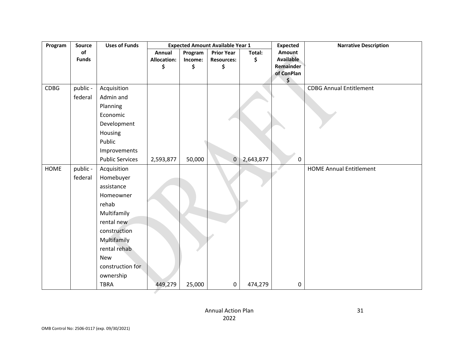| Program     | <b>Source</b> | <b>Uses of Funds</b>   | <b>Expected Amount Available Year 1</b> |         | <b>Expected</b>   | <b>Narrative Description</b> |                  |                                |
|-------------|---------------|------------------------|-----------------------------------------|---------|-------------------|------------------------------|------------------|--------------------------------|
|             | of            |                        | Annual                                  | Program | <b>Prior Year</b> | Total:                       | Amount           |                                |
|             | <b>Funds</b>  |                        | <b>Allocation:</b>                      | Income: | <b>Resources:</b> | \$                           | <b>Available</b> |                                |
|             |               |                        | \$                                      | \$      | \$                |                              | Remainder        |                                |
|             |               |                        |                                         |         |                   |                              | of ConPlan<br>\$ |                                |
| <b>CDBG</b> | public -      | Acquisition            |                                         |         |                   |                              |                  | <b>CDBG Annual Entitlement</b> |
|             | federal       | Admin and              |                                         |         |                   |                              |                  |                                |
|             |               | Planning               |                                         |         |                   |                              |                  |                                |
|             |               | Economic               |                                         |         |                   |                              |                  |                                |
|             |               | Development            |                                         |         |                   |                              |                  |                                |
|             |               | Housing                |                                         |         |                   |                              |                  |                                |
|             |               | Public                 |                                         |         |                   |                              |                  |                                |
|             |               | Improvements           |                                         |         |                   |                              |                  |                                |
|             |               | <b>Public Services</b> | 2,593,877                               | 50,000  | $\pmb{0}$         | 2,643,877                    | $\pmb{0}$        |                                |
| <b>HOME</b> | public -      | Acquisition            |                                         |         |                   |                              |                  | <b>HOME Annual Entitlement</b> |
|             | federal       | Homebuyer              |                                         |         |                   |                              |                  |                                |
|             |               | assistance             |                                         |         |                   |                              |                  |                                |
|             |               | Homeowner              |                                         |         |                   |                              |                  |                                |
|             |               | rehab                  |                                         |         |                   |                              |                  |                                |
|             |               | Multifamily            |                                         |         |                   |                              |                  |                                |
|             |               | rental new             |                                         |         |                   |                              |                  |                                |
|             |               | construction           |                                         |         |                   |                              |                  |                                |
|             |               | Multifamily            |                                         |         |                   |                              |                  |                                |
|             |               | rental rehab           |                                         |         |                   |                              |                  |                                |
|             |               | New                    |                                         |         |                   |                              |                  |                                |
|             |               | construction for       |                                         |         |                   |                              |                  |                                |
|             |               | ownership              |                                         |         |                   |                              |                  |                                |
|             |               | <b>TBRA</b>            | 449,279                                 | 25,000  | 0                 | 474,279                      | 0                |                                |

Š.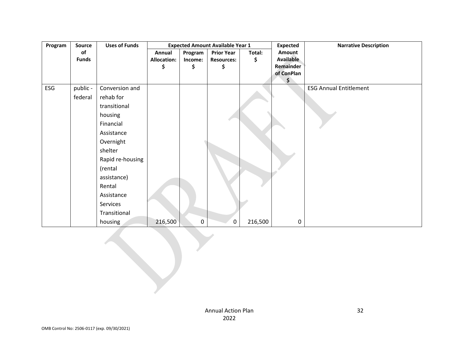| Program | Source       | <b>Uses of Funds</b> |                    |             | <b>Expected Amount Available Year 1</b> |         | <b>Expected</b>  | <b>Narrative Description</b>  |
|---------|--------------|----------------------|--------------------|-------------|-----------------------------------------|---------|------------------|-------------------------------|
|         | of           |                      | Annual             | Program     | <b>Prior Year</b>                       | Total:  | Amount           |                               |
|         | <b>Funds</b> |                      | <b>Allocation:</b> | Income:     | <b>Resources:</b>                       | \$      | <b>Available</b> |                               |
|         |              |                      | \$                 | \$          | \$                                      |         | Remainder        |                               |
|         |              |                      |                    |             |                                         |         | of ConPlan<br>\$ |                               |
| ESG     | public -     | Conversion and       |                    |             |                                         |         |                  | <b>ESG Annual Entitlement</b> |
|         | federal      | rehab for            |                    |             |                                         |         |                  |                               |
|         |              | transitional         |                    |             |                                         |         |                  |                               |
|         |              | housing              |                    |             |                                         |         |                  |                               |
|         |              | Financial            |                    |             |                                         |         |                  |                               |
|         |              | Assistance           |                    |             |                                         |         |                  |                               |
|         |              | Overnight            |                    |             |                                         |         |                  |                               |
|         |              | shelter              |                    |             |                                         |         |                  |                               |
|         |              | Rapid re-housing     |                    |             |                                         |         |                  |                               |
|         |              | (rental              |                    |             |                                         |         |                  |                               |
|         |              | assistance)          |                    |             |                                         |         |                  |                               |
|         |              | Rental               |                    |             |                                         |         |                  |                               |
|         |              | Assistance           |                    |             |                                         |         |                  |                               |
|         |              | Services             |                    |             |                                         |         |                  |                               |
|         |              | Transitional         |                    |             |                                         |         |                  |                               |
|         |              | housing              | 216,500            | $\mathbf 0$ | 0                                       | 216,500 | 0                |                               |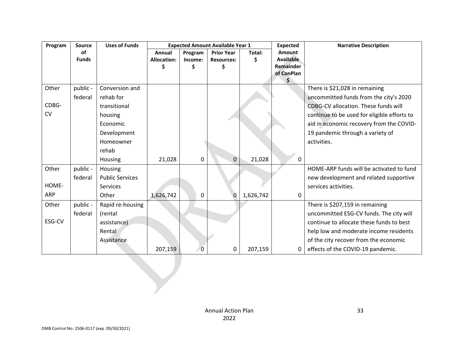| Program    | Source       | <b>Uses of Funds</b>   | <b>Expected Amount Available Year 1</b> |              |                   |           | <b>Expected</b>  | <b>Narrative Description</b>                |
|------------|--------------|------------------------|-----------------------------------------|--------------|-------------------|-----------|------------------|---------------------------------------------|
|            | <b>of</b>    |                        | Annual                                  | Program      | <b>Prior Year</b> | Total:    | Amount           |                                             |
|            | <b>Funds</b> |                        | <b>Allocation:</b>                      | Income:      | <b>Resources:</b> | \$        | <b>Available</b> |                                             |
|            |              |                        |                                         | \$           |                   |           | Remainder        |                                             |
|            |              |                        |                                         |              |                   |           | of ConPlan       |                                             |
| Other      | public -     | Conversion and         |                                         |              |                   |           |                  | There is \$21,028 in remaining              |
|            | federal      | rehab for              |                                         |              |                   |           |                  | uncommitted funds from the city's 2020      |
| CDBG-      |              | transitional           |                                         |              |                   |           |                  | CDBG-CV allocation. These funds will        |
| CV         |              | housing                |                                         |              |                   |           |                  | continue to be used for eligible efforts to |
|            |              | Economic               |                                         |              |                   |           |                  | aid in economic recovery from the COVID-    |
|            |              | Development            |                                         |              |                   |           |                  | 19 pandemic through a variety of            |
|            |              | Homeowner              |                                         |              |                   |           |                  | activities.                                 |
|            |              | rehab                  |                                         |              |                   |           |                  |                                             |
|            |              | Housing                | 21,028                                  | 0            | 0                 | 21,028    | 0                |                                             |
| Other      | public -     | Housing                |                                         |              |                   |           |                  | HOME-ARP funds will be activated to fund    |
|            | federal      | <b>Public Services</b> |                                         |              |                   |           |                  | new development and related supportive      |
| HOME-      |              | Services               |                                         |              |                   |           |                  | services activities.                        |
| <b>ARP</b> |              | Other                  | 1,626,742                               | $\mathbf{0}$ | 0                 | 1,626,742 | 0                |                                             |
| Other      | public -     | Rapid re-housing       |                                         |              |                   |           |                  | There is \$207,159 in remaining             |
|            | federal      | (rental                |                                         |              |                   |           |                  | uncommitted ESG-CV funds. The city will     |
| ESG-CV     |              | assistance)            |                                         |              |                   |           |                  | continue to allocate these funds to best    |
|            |              | Rental                 |                                         |              |                   |           |                  | help low and moderate income residents      |
|            |              | Assistance             |                                         |              |                   |           |                  | of the city recover from the economic       |
|            |              |                        | 207,159                                 | 0            | 0                 | 207,159   |                  | effects of the COVID-19 pandemic.           |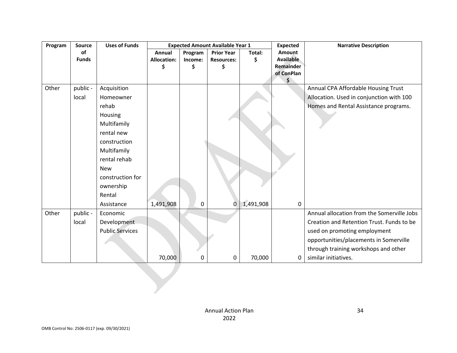| Program | <b>Source</b> | <b>Uses of Funds</b>   | <b>Expected Amount Available Year 1</b> |         |                   |           | <b>Expected</b>  | <b>Narrative Description</b>               |
|---------|---------------|------------------------|-----------------------------------------|---------|-------------------|-----------|------------------|--------------------------------------------|
|         | of            |                        | Annual                                  | Program | <b>Prior Year</b> | Total:    | Amount           |                                            |
|         | <b>Funds</b>  |                        | <b>Allocation:</b>                      | Income: | <b>Resources:</b> | \$        | <b>Available</b> |                                            |
|         |               |                        | \$                                      | \$      |                   |           | Remainder        |                                            |
|         |               |                        |                                         |         |                   |           | of ConPlan<br>\$ |                                            |
| Other   | public -      | Acquisition            |                                         |         |                   |           |                  | Annual CPA Affordable Housing Trust        |
|         | local         | Homeowner              |                                         |         |                   |           |                  | Allocation. Used in conjunction with 100   |
|         |               | rehab                  |                                         |         |                   |           |                  | Homes and Rental Assistance programs.      |
|         |               | Housing                |                                         |         |                   |           |                  |                                            |
|         |               | Multifamily            |                                         |         |                   |           |                  |                                            |
|         |               | rental new             |                                         |         |                   |           |                  |                                            |
|         |               | construction           |                                         |         |                   |           |                  |                                            |
|         |               | Multifamily            |                                         |         |                   |           |                  |                                            |
|         |               | rental rehab           |                                         |         |                   |           |                  |                                            |
|         |               | <b>New</b>             |                                         |         |                   |           |                  |                                            |
|         |               | construction for       |                                         |         |                   |           |                  |                                            |
|         |               | ownership              |                                         |         |                   |           |                  |                                            |
|         |               | Rental                 |                                         |         |                   |           |                  |                                            |
|         |               | Assistance             | 1,491,908                               | 0       | 0                 | 1,491,908 | 0                |                                            |
| Other   | public -      | Economic               |                                         |         |                   |           |                  | Annual allocation from the Somerville Jobs |
|         | local         | Development            |                                         |         |                   |           |                  | Creation and Retention Trust. Funds to be  |
|         |               | <b>Public Services</b> |                                         |         |                   |           |                  | used on promoting employment               |
|         |               |                        |                                         |         |                   |           |                  | opportunities/placements in Somerville     |
|         |               |                        |                                         |         |                   |           |                  | through training workshops and other       |
|         |               |                        | 70,000                                  | 0       | 0                 | 70,000    | 0                | similar initiatives.                       |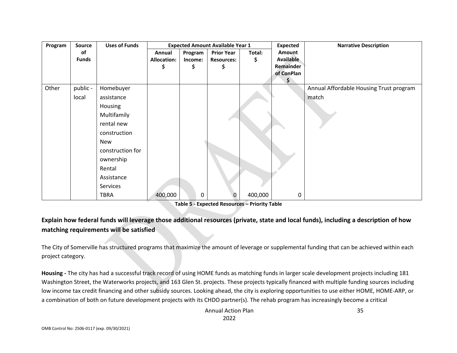| Program | Source       | <b>Uses of Funds</b> | <b>Expected Amount Available Year 1</b> |         |                   |         | <b>Expected</b>  | <b>Narrative Description</b>            |
|---------|--------------|----------------------|-----------------------------------------|---------|-------------------|---------|------------------|-----------------------------------------|
|         | of           |                      | Annual                                  | Program | <b>Prior Year</b> | Total:  | Amount           |                                         |
|         | <b>Funds</b> |                      | <b>Allocation:</b>                      | Income: | <b>Resources:</b> | \$      | <b>Available</b> |                                         |
|         |              |                      | \$                                      | \$      | \$                |         | Remainder        |                                         |
|         |              |                      |                                         |         |                   |         | of ConPlan       |                                         |
| Other   | public -     | Homebuyer            |                                         |         |                   |         |                  | Annual Affordable Housing Trust program |
|         | local        | assistance           |                                         |         |                   |         |                  | match                                   |
|         |              | Housing              |                                         |         |                   |         |                  |                                         |
|         |              | Multifamily          |                                         |         |                   |         |                  |                                         |
|         |              | rental new           |                                         |         |                   |         |                  |                                         |
|         |              | construction         |                                         |         |                   |         |                  |                                         |
|         |              | New                  |                                         |         |                   |         |                  |                                         |
|         |              | construction for     |                                         |         |                   |         |                  |                                         |
|         |              | ownership            |                                         |         |                   |         |                  |                                         |
|         |              | Rental               |                                         |         |                   |         |                  |                                         |
|         |              | Assistance           |                                         |         |                   |         |                  |                                         |
|         |              | Services             |                                         |         |                   |         |                  |                                         |
|         |              | <b>TBRA</b>          | 400,000                                 | 0       | $\mathbf 0$       | 400,000 | 0                |                                         |

**Table 5 - Expected Resources – Priority Table**

# **Explain how federal funds will leverage those additional resources (private, state and local funds), including a description of how matching requirements will be satisfied**

The City of Somerville has structured programs that maximize the amount of leverage or supplemental funding that can be achieved within each project category.

**Housing -** The city has had a successful track record of using HOME funds as matching funds in larger scale development projects including 181 Washington Street, the Waterworks projects, and 163 Glen St. projects. These projects typically financed with multiple funding sources including low income tax credit financing and other subsidy sources. Looking ahead, the city is exploring opportunities to use either HOME, HOME-ARP, or a combination of both on future development projects with its CHDO partner(s). The rehab program has increasingly become a critical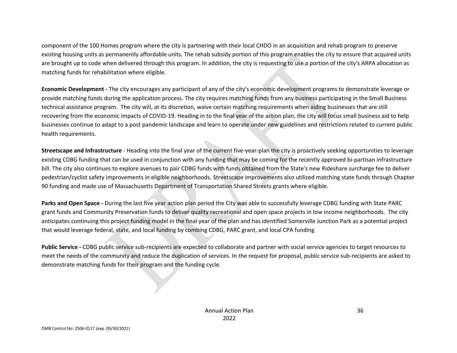component of the 100 Homes program where the city is partnering with their local CHDO in an acquisition and rehab program to preserve existing housing units as permanently affordable units. The rehab subsidy portion of this program enables the city to ensure that acquired units are brought up to code when delivered through this program. In addition, the city is requesting to use a portion of the city's ARPA allocation as matching funds for rehabilitation where eligible.

**Economic Development -** The city encourages any participant of any of the city's economic development programs to demonstrate leverage or provide matching funds during the application process. The city requires matching funds from any business participating in the Small Business technical assistance program. The city will, at its discretion, waive certain matching requirements when aiding businesses that are still recovering from the economic impacts of COVID-19. Heading in to the final year of the action plan, the city will focus small business aid to help businesses continue to adapt to a post pandemic landscape and learn to operate under new guidelines and restrictions related to current public health requirements.

**Streetscape and Infrastructure** - Heading into the final year of the current five-year-plan the city is proactively seeking opportunities to leverage existing CDBG funding that can be used in conjunction with any funding that may be coming for the recently approved bi-partisan infrastructure bill. The city also continues to explore avenues to pair CDBG funds with funds obtained from the State's new Rideshare surcharge fee to deliver pedestrian/cyclist safety improvements in eligible neighborhoods. Streetscape improvements also utilized matching state funds through Chapter 90 funding and made use of Massachusetts Department of Transportation Shared Streets grants where eligible.

**Parks and Open Space -** During the last five year action plan period the City was able to successfully leverage CDBG funding with State PARC grant funds and Community Preservation funds to deliver quality recreational and open space projects in low income neighborhoods. The city anticipates continuing this project funding model in the final year of the plan and has identified Somerville Junction Park as a potential project that would leverage federal, state, and local funding by combing CDBG, PARC grant, and local CPA funding

**Public Service -** CDBG public service sub-recipients are expected to collaborate and partner with social service agencies to target resources to meet the needs of the community and reduce the duplication of services. In the request for proposal, public service sub-recipients are asked to demonstrate matching funds for their program and the funding cycle.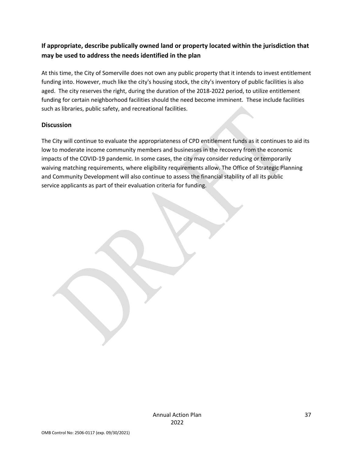## **If appropriate, describe publically owned land or property located within the jurisdiction that may be used to address the needs identified in the plan**

At this time, the City of Somerville does not own any public property that it intends to invest entitlement funding into. However, much like the city's housing stock, the city's inventory of public facilities is also aged. The city reserves the right, during the duration of the 2018-2022 period, to utilize entitlement funding for certain neighborhood facilities should the need become imminent. These include facilities such as libraries, public safety, and recreational facilities.

## **Discussion**

The City will continue to evaluate the appropriateness of CPD entitlement funds as it continues to aid its low to moderate income community members and businesses in the recovery from the economic impacts of the COVID-19 pandemic. In some cases, the city may consider reducing or temporarily waiving matching requirements, where eligibility requirements allow. The Office of Strategic Planning and Community Development will also continue to assess the financial stability of all its public service applicants as part of their evaluation criteria for funding.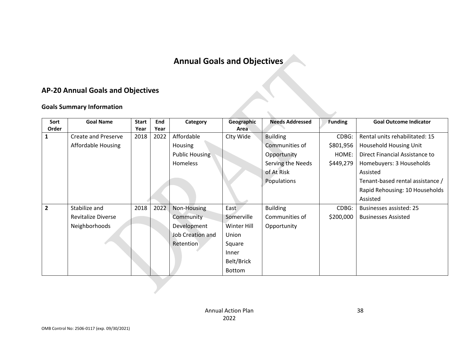# **Annual Goals and Objectives**

# **AP-20 Annual Goals and Objectives**

## **Goals Summary Information**

| Sort           | <b>Goal Name</b>           | <b>Start</b> | End  | Category                | Geographic    | <b>Needs Addressed</b> | <b>Funding</b> | <b>Goal Outcome Indicator</b>    |
|----------------|----------------------------|--------------|------|-------------------------|---------------|------------------------|----------------|----------------------------------|
| Order          |                            | Year         | Year |                         | Area          |                        |                |                                  |
|                | <b>Create and Preserve</b> | 2018         | 2022 | Affordable              | Clty Wide     | <b>Building</b>        | CDBG:          | Rental units rehabilitated: 15   |
|                | <b>Affordable Housing</b>  |              |      | Housing                 |               | Communities of         | \$801,956      | Household Housing Unit           |
|                |                            |              |      | <b>Public Housing</b>   |               | Opportunity            | HOME:          | Direct Financial Assistance to   |
|                |                            |              |      | Homeless                |               | Serving the Needs      | \$449,279      | Homebuyers: 3 Households         |
|                |                            |              |      |                         |               | of At Risk             |                | Assisted                         |
|                |                            |              |      |                         |               | Populations            |                | Tenant-based rental assistance / |
|                |                            |              |      |                         |               |                        |                | Rapid Rehousing: 10 Households   |
|                |                            |              |      |                         |               |                        |                | Assisted                         |
| $\overline{2}$ | Stabilize and              | 2018         | 2022 | Non-Housing             | East          | <b>Building</b>        | CDBG:          | <b>Businesses assisted: 25</b>   |
|                | <b>Revitalize Diverse</b>  |              |      | Community               | Somerville    | Communities of         | \$200,000      | <b>Businesses Assisted</b>       |
|                | Neighborhoods              |              |      | Development             | Winter Hill   | Opportunity            |                |                                  |
|                |                            |              |      | <b>Job Creation and</b> | Union         |                        |                |                                  |
|                |                            |              |      | Retention               | Square        |                        |                |                                  |
|                |                            |              |      |                         | Inner         |                        |                |                                  |
|                |                            |              |      |                         | Belt/Brick    |                        |                |                                  |
|                |                            |              |      |                         | <b>Bottom</b> |                        |                |                                  |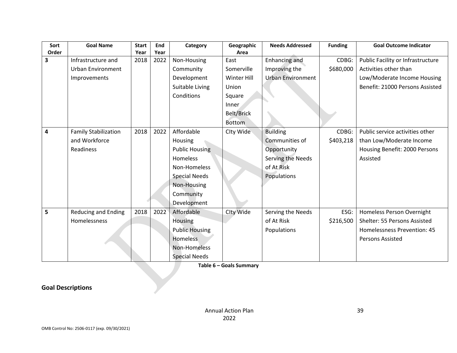| Sort                    | <b>Goal Name</b>            | <b>Start</b> | End  | Category              | Geographic        | <b>Needs Addressed</b>   | <b>Funding</b> | <b>Goal Outcome Indicator</b>     |
|-------------------------|-----------------------------|--------------|------|-----------------------|-------------------|--------------------------|----------------|-----------------------------------|
| Order                   |                             | Year         | Year |                       | Area              |                          |                |                                   |
| $\overline{\mathbf{3}}$ | Infrastructure and          | 2018         | 2022 | Non-Housing           | East              | <b>Enhancing and</b>     | CDBG:          | Public Facility or Infrastructure |
|                         | <b>Urban Environment</b>    |              |      | Community             | Somerville        | Improving the            | \$680,000      | Activities other than             |
|                         | Improvements                |              |      | Development           | Winter Hill       | <b>Urban Environment</b> |                | Low/Moderate Income Housing       |
|                         |                             |              |      | Suitable Living       | Union             |                          |                | Benefit: 21000 Persons Assisted   |
|                         |                             |              |      | Conditions            | Square            |                          |                |                                   |
|                         |                             |              |      |                       | Inner             |                          |                |                                   |
|                         |                             |              |      |                       | <b>Belt/Brick</b> |                          |                |                                   |
|                         |                             |              |      |                       | <b>Bottom</b>     |                          |                |                                   |
|                         |                             |              |      |                       |                   |                          |                |                                   |
| 4                       | <b>Family Stabilization</b> | 2018         | 2022 | Affordable            | Clty Wide         | <b>Building</b>          | CDBG:          | Public service activities other   |
|                         | and Workforce               |              |      | Housing               |                   | Communities of           | \$403,218      | than Low/Moderate Income          |
|                         | <b>Readiness</b>            |              |      | <b>Public Housing</b> |                   | Opportunity              |                | Housing Benefit: 2000 Persons     |
|                         |                             |              |      | Homeless              |                   | Serving the Needs        |                | Assisted                          |
|                         |                             |              |      | Non-Homeless          |                   | of At Risk               |                |                                   |
|                         |                             |              |      | <b>Special Needs</b>  |                   | Populations              |                |                                   |
|                         |                             |              |      | Non-Housing           |                   |                          |                |                                   |
|                         |                             |              |      | Community             |                   |                          |                |                                   |
|                         |                             |              |      | Development           |                   |                          |                |                                   |
| 5                       | <b>Reducing and Ending</b>  | 2018         | 2022 | Affordable            | Clty Wide         | Serving the Needs        | ESG:           | Homeless Person Overnight         |
|                         | Homelessness                |              |      | Housing               |                   | of At Risk               | \$216,500      | Shelter: 55 Persons Assisted      |
|                         |                             |              |      | <b>Public Housing</b> |                   | Populations              |                | Homelessness Prevention: 45       |
|                         |                             |              |      | <b>Homeless</b>       |                   |                          |                | <b>Persons Assisted</b>           |
|                         |                             |              |      | Non-Homeless          |                   |                          |                |                                   |
|                         |                             |              |      | <b>Special Needs</b>  |                   |                          |                |                                   |

**Table 6 – Goals Summary**

**Goal Descriptions**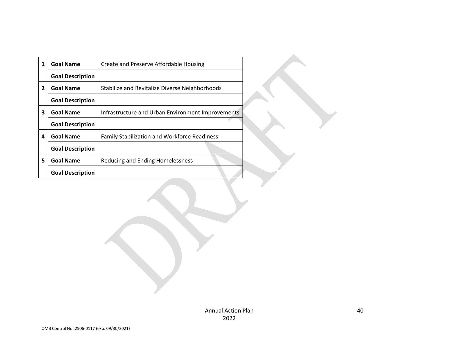| 1              | <b>Goal Name</b>        | Create and Preserve Affordable Housing              |
|----------------|-------------------------|-----------------------------------------------------|
|                | <b>Goal Description</b> |                                                     |
| $\overline{2}$ | <b>Goal Name</b>        | Stabilize and Revitalize Diverse Neighborhoods      |
|                | <b>Goal Description</b> |                                                     |
| 3              | <b>Goal Name</b>        | Infrastructure and Urban Environment Improvements   |
|                | <b>Goal Description</b> |                                                     |
| 4              | <b>Goal Name</b>        | <b>Family Stabilization and Workforce Readiness</b> |
|                | <b>Goal Description</b> |                                                     |
| 5              | <b>Goal Name</b>        | Reducing and Ending Homelessness                    |
|                | <b>Goal Description</b> |                                                     |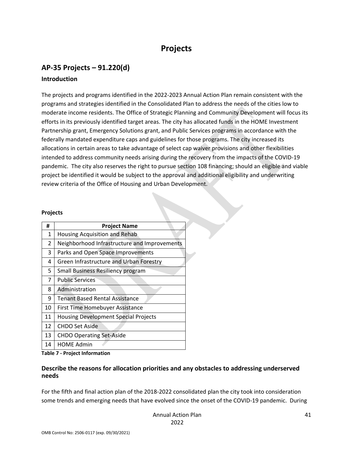# **Projects**

# **AP-35 Projects – 91.220(d)**

## **Introduction**

The projects and programs identified in the 2022-2023 Annual Action Plan remain consistent with the programs and strategies identified in the Consolidated Plan to address the needs of the cities low to moderate income residents. The Office of Strategic Planning and Community Development will focus its efforts in its previously identified target areas. The city has allocated funds in the HOME Investment Partnership grant, Emergency Solutions grant, and Public Services programs in accordance with the federally mandated expenditure caps and guidelines for those programs. The city increased its allocations in certain areas to take advantage of select cap waiver provisions and other flexibilities intended to address community needs arising during the recovery from the impacts of the COVID-19 pandemic. The city also reserves the right to pursue section 108 financing; should an eligible and viable project be identified it would be subject to the approval and additional eligibility and underwriting review criteria of the Office of Housing and Urban Development.

#### **Projects**

| #  | <b>Project Name</b>                          |
|----|----------------------------------------------|
| 1  | <b>Housing Acquisition and Rehab</b>         |
| 2  | Neighborhood Infrastructure and Improvements |
| 3  | Parks and Open Space Improvements            |
| 4  | Green Infrastructure and Urban Forestry      |
| 5  | Small Business Resiliency program            |
| 7  | <b>Public Services</b>                       |
| 8  | Administration                               |
| 9  | <b>Tenant Based Rental Assistance</b>        |
| 10 | First Time Homebuyer Assistance              |
| 11 | <b>Housing Development Special Projects</b>  |
| 12 | <b>CHDO Set Aside</b>                        |
| 13 | <b>CHDO Operating Set-Aside</b>              |
| 14 | <b>HOME Admin</b>                            |

**Table 7 - Project Information**

#### **Describe the reasons for allocation priorities and any obstacles to addressing underserved needs**

For the fifth and final action plan of the 2018-2022 consolidated plan the city took into consideration some trends and emerging needs that have evolved since the onset of the COVID-19 pandemic. During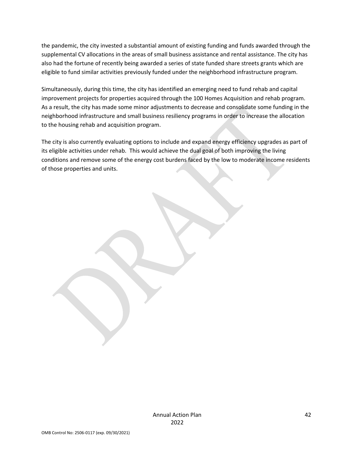the pandemic, the city invested a substantial amount of existing funding and funds awarded through the supplemental CV allocations in the areas of small business assistance and rental assistance. The city has also had the fortune of recently being awarded a series of state funded share streets grants which are eligible to fund similar activities previously funded under the neighborhood infrastructure program.

Simultaneously, during this time, the city has identified an emerging need to fund rehab and capital improvement projects for properties acquired through the 100 Homes Acquisition and rehab program. As a result, the city has made some minor adjustments to decrease and consolidate some funding in the neighborhood infrastructure and small business resiliency programs in order to increase the allocation to the housing rehab and acquisition program.

The city is also currently evaluating options to include and expand energy efficiency upgrades as part of its eligible activities under rehab. This would achieve the dual goal of both improving the living conditions and remove some of the energy cost burdens faced by the low to moderate income residents of those properties and units.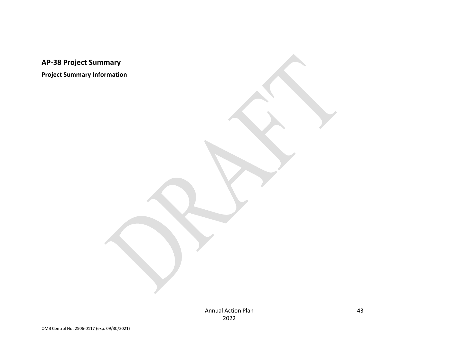**AP-38 Project Summary**

**Project Summary Information**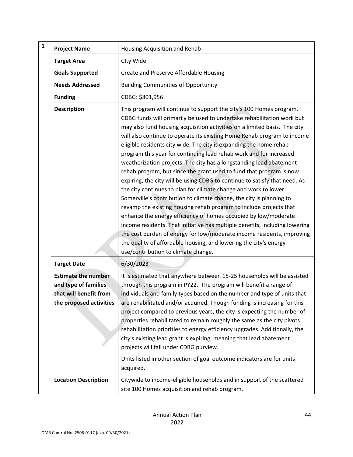| ${\bf 1}$<br><b>Project Name</b>                                                                        | Housing Acquisition and Rehab                                                                                                                                                                                                                                                                                                                                                                                                                                                                                                                                                                                                                                                                                                                                                                                                                                                                                                                                                                                                                                                                                                                                                                                                          |
|---------------------------------------------------------------------------------------------------------|----------------------------------------------------------------------------------------------------------------------------------------------------------------------------------------------------------------------------------------------------------------------------------------------------------------------------------------------------------------------------------------------------------------------------------------------------------------------------------------------------------------------------------------------------------------------------------------------------------------------------------------------------------------------------------------------------------------------------------------------------------------------------------------------------------------------------------------------------------------------------------------------------------------------------------------------------------------------------------------------------------------------------------------------------------------------------------------------------------------------------------------------------------------------------------------------------------------------------------------|
| <b>Target Area</b>                                                                                      | Clty Wide                                                                                                                                                                                                                                                                                                                                                                                                                                                                                                                                                                                                                                                                                                                                                                                                                                                                                                                                                                                                                                                                                                                                                                                                                              |
| <b>Goals Supported</b>                                                                                  | Create and Preserve Affordable Housing                                                                                                                                                                                                                                                                                                                                                                                                                                                                                                                                                                                                                                                                                                                                                                                                                                                                                                                                                                                                                                                                                                                                                                                                 |
| <b>Needs Addressed</b>                                                                                  | <b>Building Communities of Opportunity</b>                                                                                                                                                                                                                                                                                                                                                                                                                                                                                                                                                                                                                                                                                                                                                                                                                                                                                                                                                                                                                                                                                                                                                                                             |
| <b>Funding</b>                                                                                          | CDBG: \$801,956                                                                                                                                                                                                                                                                                                                                                                                                                                                                                                                                                                                                                                                                                                                                                                                                                                                                                                                                                                                                                                                                                                                                                                                                                        |
| <b>Description</b>                                                                                      | This program will continue to support the city's 100 Homes program.<br>CDBG funds will primarily be used to undertake rehabilitation work but<br>may also fund housing acquisition activities on a limited basis. The city<br>will also continue to operate its existing Home Rehab program to income<br>eligible residents city wide. The city is expanding the home rehab<br>program this year for continuing lead rehab work and for increased<br>weatherization projects. The city has a longstanding lead abatement<br>rehab program, but since the grant used to fund that program is now<br>expiring, the city will be using CDBG to continue to satisfy that need. As<br>the city continues to plan for climate change and work to lower<br>Somerville's contribution to climate change, the city is planning to<br>revamp the existing housing rehab program to include projects that<br>enhance the energy efficiency of homes occupied by low/moderate<br>income residents. That initiative has multiple benefits, including lowering<br>the cost burden of energy for low/moderate income residents, improving<br>the quality of affordable housing, and lowering the city's energy<br>use/contribution to climate change. |
| <b>Target Date</b>                                                                                      | 6/30/2023                                                                                                                                                                                                                                                                                                                                                                                                                                                                                                                                                                                                                                                                                                                                                                                                                                                                                                                                                                                                                                                                                                                                                                                                                              |
| <b>Estimate the number</b><br>and type of families<br>that will benefit from<br>the proposed activities | It is estimated that anywhere between 15-25 households will be assisted<br>through this program in PY22. The program will benefit a range of<br>individuals and family types based on the number and type of units that<br>are rehabilitated and/or acquired. Though funding is increasing for this<br>project compared to previous years, the city is expecting the number of<br>properties rehabilitated to remain roughly the same as the city pivots<br>rehabilitation priorities to energy efficiency upgrades. Additionally, the<br>city's existing lead grant is expiring, meaning that lead abatement<br>projects will fall under CDBG purview.<br>Units listed in other section of goal outcome indicators are for units<br>acquired.                                                                                                                                                                                                                                                                                                                                                                                                                                                                                         |
| <b>Location Description</b>                                                                             | Citywide to income-eligible households and in support of the scattered<br>site 100 Homes acquisition and rehab program.                                                                                                                                                                                                                                                                                                                                                                                                                                                                                                                                                                                                                                                                                                                                                                                                                                                                                                                                                                                                                                                                                                                |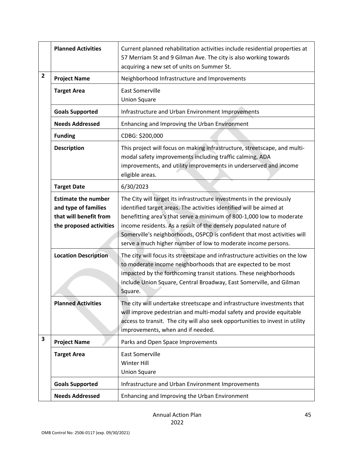|   | <b>Planned Activities</b>                                                                               | Current planned rehabilitation activities include residential properties at<br>57 Merriam St and 9 Gilman Ave. The city is also working towards<br>acquiring a new set of units on Summer St.                                                                                                                                                                                                                                         |
|---|---------------------------------------------------------------------------------------------------------|---------------------------------------------------------------------------------------------------------------------------------------------------------------------------------------------------------------------------------------------------------------------------------------------------------------------------------------------------------------------------------------------------------------------------------------|
| 2 | <b>Project Name</b>                                                                                     | Neighborhood Infrastructure and Improvements                                                                                                                                                                                                                                                                                                                                                                                          |
|   | <b>Target Area</b>                                                                                      | <b>East Somerville</b><br><b>Union Square</b>                                                                                                                                                                                                                                                                                                                                                                                         |
|   | <b>Goals Supported</b>                                                                                  | Infrastructure and Urban Environment Improvements                                                                                                                                                                                                                                                                                                                                                                                     |
|   | <b>Needs Addressed</b>                                                                                  | Enhancing and Improving the Urban Environment                                                                                                                                                                                                                                                                                                                                                                                         |
|   | <b>Funding</b>                                                                                          | CDBG: \$200,000                                                                                                                                                                                                                                                                                                                                                                                                                       |
|   | <b>Description</b>                                                                                      | This project will focus on making infrastructure, streetscape, and multi-<br>modal safety improvements including traffic calming, ADA<br>improvements, and utility improvements in underserved and income<br>eligible areas.                                                                                                                                                                                                          |
|   | <b>Target Date</b>                                                                                      | 6/30/2023                                                                                                                                                                                                                                                                                                                                                                                                                             |
|   | <b>Estimate the number</b><br>and type of families<br>that will benefit from<br>the proposed activities | The City will target its infrastructure investments in the previously<br>identified target areas. The activities identified will be aimed at<br>benefitting area's that serve a minimum of 800-1,000 low to moderate<br>income residents. As a result of the densely populated nature of<br>Somerville's neighborhoods, OSPCD is confident that most activities will<br>serve a much higher number of low to moderate income persons. |
|   | <b>Location Description</b>                                                                             | The city will focus its streetscape and infrastructure activities on the low<br>to moderate income neighborhoods that are expected to be most<br>impacted by the forthcoming transit stations. These neighborhoods<br>include Union Square, Central Broadway, East Somerville, and Gilman<br>Square.                                                                                                                                  |
|   | <b>Planned Activities</b>                                                                               | The city will undertake streetscape and infrastructure investments that<br>will improve pedestrian and multi-modal safety and provide equitable<br>access to transit. The city will also seek opportunities to invest in utility<br>improvements, when and if needed.                                                                                                                                                                 |
| 3 | <b>Project Name</b>                                                                                     | Parks and Open Space Improvements                                                                                                                                                                                                                                                                                                                                                                                                     |
|   | <b>Target Area</b>                                                                                      | <b>East Somerville</b><br>Winter Hill<br><b>Union Square</b>                                                                                                                                                                                                                                                                                                                                                                          |
|   | <b>Goals Supported</b>                                                                                  | Infrastructure and Urban Environment Improvements                                                                                                                                                                                                                                                                                                                                                                                     |
|   | <b>Needs Addressed</b>                                                                                  | Enhancing and Improving the Urban Environment                                                                                                                                                                                                                                                                                                                                                                                         |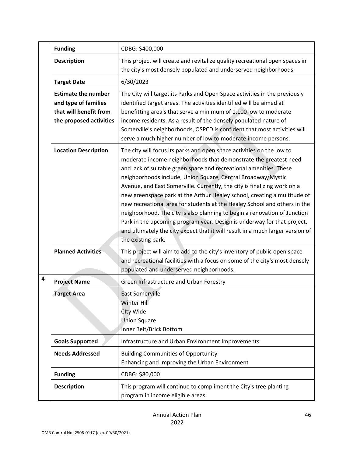|   | <b>Funding</b>                                                                                          | CDBG: \$400,000                                                                                                                                                                                                                                                                                                                                                                                                                                                                                                                                                                                                                                                                                                                                                                      |
|---|---------------------------------------------------------------------------------------------------------|--------------------------------------------------------------------------------------------------------------------------------------------------------------------------------------------------------------------------------------------------------------------------------------------------------------------------------------------------------------------------------------------------------------------------------------------------------------------------------------------------------------------------------------------------------------------------------------------------------------------------------------------------------------------------------------------------------------------------------------------------------------------------------------|
|   | <b>Description</b>                                                                                      | This project will create and revitalize quality recreational open spaces in<br>the city's most densely populated and underserved neighborhoods.                                                                                                                                                                                                                                                                                                                                                                                                                                                                                                                                                                                                                                      |
|   | <b>Target Date</b>                                                                                      | 6/30/2023                                                                                                                                                                                                                                                                                                                                                                                                                                                                                                                                                                                                                                                                                                                                                                            |
|   | <b>Estimate the number</b><br>and type of families<br>that will benefit from<br>the proposed activities | The City will target its Parks and Open Space activities in the previously<br>identified target areas. The activities identified will be aimed at<br>benefitting area's that serve a minimum of 1,100 low to moderate<br>income residents. As a result of the densely populated nature of<br>Somerville's neighborhoods, OSPCD is confident that most activities will<br>serve a much higher number of low to moderate income persons.                                                                                                                                                                                                                                                                                                                                               |
|   | <b>Location Description</b>                                                                             | The city will focus its parks and open space activities on the low to<br>moderate income neighborhoods that demonstrate the greatest need<br>and lack of suitable green space and recreational amenities. These<br>neighborhoods include, Union Square, Central Broadway/Mystic<br>Avenue, and East Somerville. Currently, the city is finalizing work on a<br>new greenspace park at the Arthur Healey school, creating a multitude of<br>new recreational area for students at the Healey School and others in the<br>neighborhood. The city is also planning to begin a renovation of Junction<br>Park in the upcoming program year. Design is underway for that project,<br>and ultimately the city expect that it will result in a much larger version of<br>the existing park. |
|   | <b>Planned Activities</b>                                                                               | This project will aim to add to the city's inventory of public open space<br>and recreational facilities with a focus on some of the city's most densely<br>populated and underserved neighborhoods.                                                                                                                                                                                                                                                                                                                                                                                                                                                                                                                                                                                 |
| 4 | <b>Project Name</b>                                                                                     | Green Infrastructure and Urban Forestry                                                                                                                                                                                                                                                                                                                                                                                                                                                                                                                                                                                                                                                                                                                                              |
|   | <b>Target Area</b>                                                                                      | <b>East Somerville</b><br>Winter Hill<br>Clty Wide<br><b>Union Square</b><br>Inner Belt/Brick Bottom                                                                                                                                                                                                                                                                                                                                                                                                                                                                                                                                                                                                                                                                                 |
|   | <b>Goals Supported</b>                                                                                  | Infrastructure and Urban Environment Improvements                                                                                                                                                                                                                                                                                                                                                                                                                                                                                                                                                                                                                                                                                                                                    |
|   | <b>Needs Addressed</b>                                                                                  | <b>Building Communities of Opportunity</b><br>Enhancing and Improving the Urban Environment                                                                                                                                                                                                                                                                                                                                                                                                                                                                                                                                                                                                                                                                                          |
|   | <b>Funding</b>                                                                                          | CDBG: \$80,000                                                                                                                                                                                                                                                                                                                                                                                                                                                                                                                                                                                                                                                                                                                                                                       |
|   | <b>Description</b>                                                                                      | This program will continue to compliment the City's tree planting<br>program in income eligible areas.                                                                                                                                                                                                                                                                                                                                                                                                                                                                                                                                                                                                                                                                               |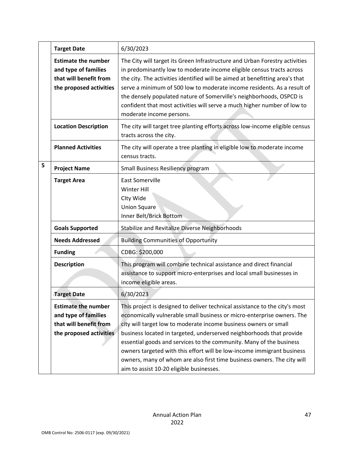|   | <b>Target Date</b>                                                                                      | 6/30/2023                                                                                                                                                                                                                                                                                                                                                                                                                                                                                                                                                                 |
|---|---------------------------------------------------------------------------------------------------------|---------------------------------------------------------------------------------------------------------------------------------------------------------------------------------------------------------------------------------------------------------------------------------------------------------------------------------------------------------------------------------------------------------------------------------------------------------------------------------------------------------------------------------------------------------------------------|
|   | <b>Estimate the number</b><br>and type of families<br>that will benefit from<br>the proposed activities | The City will target its Green Infrastructure and Urban Forestry activities<br>in predominantly low to moderate income eligible census tracts across<br>the city. The activities identified will be aimed at benefitting area's that<br>serve a minimum of 500 low to moderate income residents. As a result of<br>the densely populated nature of Somerville's neighborhoods, OSPCD is<br>confident that most activities will serve a much higher number of low to<br>moderate income persons.                                                                           |
|   | <b>Location Description</b>                                                                             | The city will target tree planting efforts across low-income eligible census<br>tracts across the city.                                                                                                                                                                                                                                                                                                                                                                                                                                                                   |
|   | <b>Planned Activities</b>                                                                               | The city will operate a tree planting in eligible low to moderate income<br>census tracts.                                                                                                                                                                                                                                                                                                                                                                                                                                                                                |
| 5 | <b>Project Name</b>                                                                                     | Small Business Resiliency program                                                                                                                                                                                                                                                                                                                                                                                                                                                                                                                                         |
|   | <b>Target Area</b>                                                                                      | <b>East Somerville</b><br><b>Winter Hill</b><br>Clty Wide<br><b>Union Square</b><br>Inner Belt/Brick Bottom                                                                                                                                                                                                                                                                                                                                                                                                                                                               |
|   | <b>Goals Supported</b>                                                                                  | <b>Stabilize and Revitalize Diverse Neighborhoods</b>                                                                                                                                                                                                                                                                                                                                                                                                                                                                                                                     |
|   | <b>Needs Addressed</b>                                                                                  | <b>Building Communities of Opportunity</b>                                                                                                                                                                                                                                                                                                                                                                                                                                                                                                                                |
|   | <b>Funding</b>                                                                                          | CDBG: \$200,000                                                                                                                                                                                                                                                                                                                                                                                                                                                                                                                                                           |
|   | <b>Description</b>                                                                                      | This program will combine technical assistance and direct financial<br>assistance to support micro-enterprises and local small businesses in<br>income eligible areas.                                                                                                                                                                                                                                                                                                                                                                                                    |
|   | <b>Target Date</b>                                                                                      | 6/30/2023                                                                                                                                                                                                                                                                                                                                                                                                                                                                                                                                                                 |
|   | <b>Estimate the number</b><br>and type of families<br>that will benefit from<br>the proposed activities | This project is designed to deliver technical assistance to the city's most<br>economically vulnerable small business or micro-enterprise owners. The<br>city will target low to moderate income business owners or small<br>business located in targeted, underserved neighborhoods that provide<br>essential goods and services to the community. Many of the business<br>owners targeted with this effort will be low-income immigrant business<br>owners, many of whom are also first time business owners. The city will<br>aim to assist 10-20 eligible businesses. |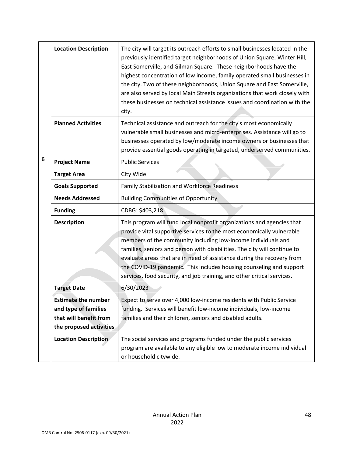|   | <b>Location Description</b>                                                                             | The city will target its outreach efforts to small businesses located in the<br>previously identified target neighborhoods of Union Square, Winter Hill,<br>East Somerville, and Gilman Square. These neighborhoods have the<br>highest concentration of low income, family operated small businesses in<br>the city. Two of these neighborhoods, Union Square and East Somerville,<br>are also served by local Main Streets organizations that work closely with<br>these businesses on technical assistance issues and coordination with the<br>city. |
|---|---------------------------------------------------------------------------------------------------------|---------------------------------------------------------------------------------------------------------------------------------------------------------------------------------------------------------------------------------------------------------------------------------------------------------------------------------------------------------------------------------------------------------------------------------------------------------------------------------------------------------------------------------------------------------|
|   | <b>Planned Activities</b>                                                                               | Technical assistance and outreach for the city's most economically<br>vulnerable small businesses and micro-enterprises. Assistance will go to<br>businesses operated by low/moderate income owners or businesses that<br>provide essential goods operating in targeted, underserved communities.                                                                                                                                                                                                                                                       |
| 6 | <b>Project Name</b>                                                                                     | <b>Public Services</b>                                                                                                                                                                                                                                                                                                                                                                                                                                                                                                                                  |
|   | <b>Target Area</b>                                                                                      | Clty Wide                                                                                                                                                                                                                                                                                                                                                                                                                                                                                                                                               |
|   | <b>Goals Supported</b>                                                                                  | Family Stabilization and Workforce Readiness                                                                                                                                                                                                                                                                                                                                                                                                                                                                                                            |
|   | <b>Needs Addressed</b>                                                                                  | <b>Building Communities of Opportunity</b>                                                                                                                                                                                                                                                                                                                                                                                                                                                                                                              |
|   | <b>Funding</b>                                                                                          | CDBG: \$403,218                                                                                                                                                                                                                                                                                                                                                                                                                                                                                                                                         |
|   | <b>Description</b>                                                                                      | This program will fund local nonprofit organizations and agencies that<br>provide vital supportive services to the most economically vulnerable<br>members of the community including low-income individuals and<br>families, seniors and person with disabilities. The city will continue to<br>evaluate areas that are in need of assistance during the recovery from<br>the COVID-19 pandemic. This includes housing counseling and support<br>services, food security, and job training, and other critical services.                               |
|   | <b>Target Date</b>                                                                                      | 6/30/2023                                                                                                                                                                                                                                                                                                                                                                                                                                                                                                                                               |
|   | <b>Estimate the number</b><br>and type of families<br>that will benefit from<br>the proposed activities | Expect to serve over 4,000 low-income residents with Public Service<br>funding. Services will benefit low-income individuals, low-income<br>families and their children, seniors and disabled adults.                                                                                                                                                                                                                                                                                                                                                   |
|   | <b>Location Description</b>                                                                             | The social services and programs funded under the public services<br>program are available to any eligible low to moderate income individual<br>or household citywide.                                                                                                                                                                                                                                                                                                                                                                                  |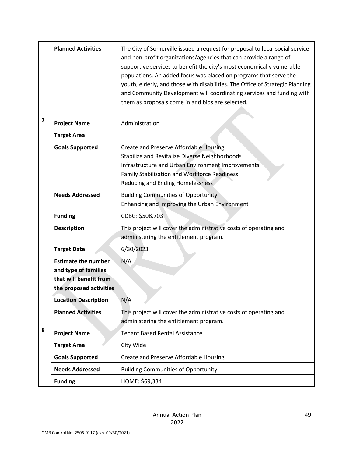|                         | <b>Planned Activities</b>                                                                               | The City of Somerville issued a request for proposal to local social service<br>and non-profit organizations/agencies that can provide a range of<br>supportive services to benefit the city's most economically vulnerable<br>populations. An added focus was placed on programs that serve the<br>youth, elderly, and those with disabilities. The Office of Strategic Planning<br>and Community Development will coordinating services and funding with<br>them as proposals come in and bids are selected. |
|-------------------------|---------------------------------------------------------------------------------------------------------|----------------------------------------------------------------------------------------------------------------------------------------------------------------------------------------------------------------------------------------------------------------------------------------------------------------------------------------------------------------------------------------------------------------------------------------------------------------------------------------------------------------|
| $\overline{\mathbf{z}}$ | <b>Project Name</b>                                                                                     | Administration                                                                                                                                                                                                                                                                                                                                                                                                                                                                                                 |
|                         | <b>Target Area</b>                                                                                      |                                                                                                                                                                                                                                                                                                                                                                                                                                                                                                                |
|                         | <b>Goals Supported</b>                                                                                  | Create and Preserve Affordable Housing<br>Stabilize and Revitalize Diverse Neighborhoods<br>Infrastructure and Urban Environment Improvements<br><b>Family Stabilization and Workforce Readiness</b><br>Reducing and Ending Homelessness                                                                                                                                                                                                                                                                       |
|                         | <b>Needs Addressed</b>                                                                                  | <b>Building Communities of Opportunity</b><br>Enhancing and Improving the Urban Environment                                                                                                                                                                                                                                                                                                                                                                                                                    |
|                         | <b>Funding</b>                                                                                          | CDBG: \$508,703                                                                                                                                                                                                                                                                                                                                                                                                                                                                                                |
|                         | <b>Description</b>                                                                                      | This project will cover the administrative costs of operating and<br>administering the entitlement program.                                                                                                                                                                                                                                                                                                                                                                                                    |
|                         | <b>Target Date</b>                                                                                      | 6/30/2023                                                                                                                                                                                                                                                                                                                                                                                                                                                                                                      |
|                         | <b>Estimate the number</b><br>and type of families<br>that will benefit from<br>the proposed activities | N/A                                                                                                                                                                                                                                                                                                                                                                                                                                                                                                            |
|                         | <b>Location Description</b>                                                                             | N/A                                                                                                                                                                                                                                                                                                                                                                                                                                                                                                            |
|                         | <b>Planned Activities</b>                                                                               | This project will cover the administrative costs of operating and<br>administering the entitlement program.                                                                                                                                                                                                                                                                                                                                                                                                    |
| 8                       | <b>Project Name</b>                                                                                     | <b>Tenant Based Rental Assistance</b>                                                                                                                                                                                                                                                                                                                                                                                                                                                                          |
|                         | <b>Target Area</b>                                                                                      | Clty Wide                                                                                                                                                                                                                                                                                                                                                                                                                                                                                                      |
|                         | <b>Goals Supported</b>                                                                                  | Create and Preserve Affordable Housing                                                                                                                                                                                                                                                                                                                                                                                                                                                                         |
|                         | <b>Needs Addressed</b>                                                                                  | <b>Building Communities of Opportunity</b>                                                                                                                                                                                                                                                                                                                                                                                                                                                                     |
|                         | <b>Funding</b>                                                                                          | HOME: \$69,334                                                                                                                                                                                                                                                                                                                                                                                                                                                                                                 |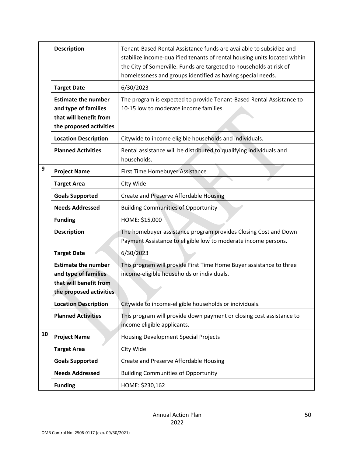|    | <b>Description</b>                                                                                      | Tenant-Based Rental Assistance funds are available to subsidize and<br>stabilize income-qualified tenants of rental housing units located within<br>the City of Somerville. Funds are targeted to households at risk of<br>homelessness and groups identified as having special needs. |
|----|---------------------------------------------------------------------------------------------------------|----------------------------------------------------------------------------------------------------------------------------------------------------------------------------------------------------------------------------------------------------------------------------------------|
|    | <b>Target Date</b>                                                                                      | 6/30/2023                                                                                                                                                                                                                                                                              |
|    | <b>Estimate the number</b><br>and type of families<br>that will benefit from<br>the proposed activities | The program is expected to provide Tenant-Based Rental Assistance to<br>10-15 low to moderate income families.                                                                                                                                                                         |
|    | <b>Location Description</b>                                                                             | Citywide to income eligible households and individuals.                                                                                                                                                                                                                                |
|    | <b>Planned Activities</b>                                                                               | Rental assistance will be distributed to qualifying individuals and<br>households.                                                                                                                                                                                                     |
| 9  | <b>Project Name</b>                                                                                     | First Time Homebuyer Assistance                                                                                                                                                                                                                                                        |
|    | <b>Target Area</b>                                                                                      | Clty Wide                                                                                                                                                                                                                                                                              |
|    | <b>Goals Supported</b>                                                                                  | Create and Preserve Affordable Housing                                                                                                                                                                                                                                                 |
|    | <b>Needs Addressed</b>                                                                                  | <b>Building Communities of Opportunity</b>                                                                                                                                                                                                                                             |
|    | <b>Funding</b>                                                                                          | HOME: \$15,000                                                                                                                                                                                                                                                                         |
|    | <b>Description</b>                                                                                      | The homebuyer assistance program provides Closing Cost and Down<br>Payment Assistance to eligible low to moderate income persons.                                                                                                                                                      |
|    | <b>Target Date</b>                                                                                      | 6/30/2023                                                                                                                                                                                                                                                                              |
|    | <b>Estimate the number</b><br>and type of families<br>that will benefit from<br>the proposed activities | This program will provide First Time Home Buyer assistance to three<br>income-eligible households or individuals.                                                                                                                                                                      |
|    | <b>Location Description</b>                                                                             | Citywide to income-eligible households or individuals.                                                                                                                                                                                                                                 |
|    | <b>Planned Activities</b>                                                                               | This program will provide down payment or closing cost assistance to<br>income eligible applicants.                                                                                                                                                                                    |
| 10 | <b>Project Name</b>                                                                                     | <b>Housing Development Special Projects</b>                                                                                                                                                                                                                                            |
|    | <b>Target Area</b>                                                                                      | Clty Wide                                                                                                                                                                                                                                                                              |
|    | <b>Goals Supported</b>                                                                                  | Create and Preserve Affordable Housing                                                                                                                                                                                                                                                 |
|    | <b>Needs Addressed</b>                                                                                  | <b>Building Communities of Opportunity</b>                                                                                                                                                                                                                                             |
|    | <b>Funding</b>                                                                                          | HOME: \$230,162                                                                                                                                                                                                                                                                        |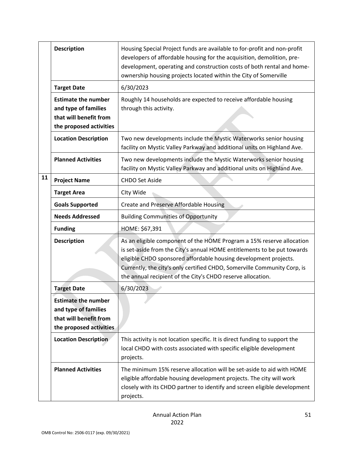|    | <b>Description</b>                                                                                      | Housing Special Project funds are available to for-profit and non-profit<br>developers of affordable housing for the acquisition, demolition, pre-<br>development, operating and construction costs of both rental and home-<br>ownership housing projects located within the City of Somerville                                                                |
|----|---------------------------------------------------------------------------------------------------------|-----------------------------------------------------------------------------------------------------------------------------------------------------------------------------------------------------------------------------------------------------------------------------------------------------------------------------------------------------------------|
|    | <b>Target Date</b>                                                                                      | 6/30/2023                                                                                                                                                                                                                                                                                                                                                       |
|    | <b>Estimate the number</b><br>and type of families<br>that will benefit from<br>the proposed activities | Roughly 14 households are expected to receive affordable housing<br>through this activity.                                                                                                                                                                                                                                                                      |
|    | <b>Location Description</b>                                                                             | Two new developments include the Mystic Waterworks senior housing<br>facility on Mystic Valley Parkway and additional units on Highland Ave.                                                                                                                                                                                                                    |
|    | <b>Planned Activities</b>                                                                               | Two new developments include the Mystic Waterworks senior housing<br>facility on Mystic Valley Parkway and additional units on Highland Ave.                                                                                                                                                                                                                    |
| 11 | <b>Project Name</b>                                                                                     | <b>CHDO Set Aside</b>                                                                                                                                                                                                                                                                                                                                           |
|    | <b>Target Area</b>                                                                                      | Clty Wide                                                                                                                                                                                                                                                                                                                                                       |
|    | <b>Goals Supported</b>                                                                                  | Create and Preserve Affordable Housing                                                                                                                                                                                                                                                                                                                          |
|    | <b>Needs Addressed</b>                                                                                  | <b>Building Communities of Opportunity</b>                                                                                                                                                                                                                                                                                                                      |
|    | <b>Funding</b>                                                                                          | HOME: \$67,391                                                                                                                                                                                                                                                                                                                                                  |
|    | <b>Description</b>                                                                                      | As an eligible component of the HOME Program a 15% reserve allocation<br>is set-aside from the City's annual HOME entitlements to be put towards<br>eligible CHDO sponsored affordable housing development projects.<br>Currently, the city's only certified CHDO, Somerville Community Corp, is<br>the annual recipient of the City's CHDO reserve allocation. |
|    | <b>Target Date</b>                                                                                      | 6/30/2023                                                                                                                                                                                                                                                                                                                                                       |
|    | <b>Estimate the number</b><br>and type of families<br>that will benefit from<br>the proposed activities |                                                                                                                                                                                                                                                                                                                                                                 |
|    | <b>Location Description</b>                                                                             | This activity is not location specific. It is direct funding to support the<br>local CHDO with costs associated with specific eligible development<br>projects.                                                                                                                                                                                                 |
|    | <b>Planned Activities</b>                                                                               | The minimum 15% reserve allocation will be set-aside to aid with HOME<br>eligible affordable housing development projects. The city will work<br>closely with its CHDO partner to identify and screen eligible development<br>projects.                                                                                                                         |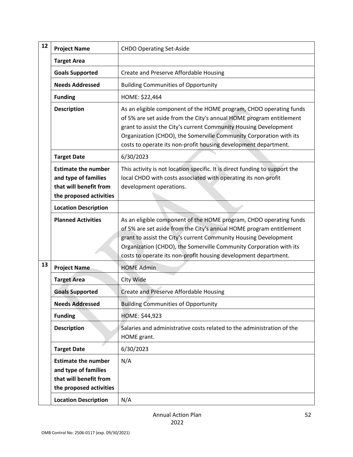| 12 | <b>Project Name</b>                                                                                     | <b>CHDO Operating Set-Aside</b>                                                                                                                                                                                                                                                                                                                        |  |
|----|---------------------------------------------------------------------------------------------------------|--------------------------------------------------------------------------------------------------------------------------------------------------------------------------------------------------------------------------------------------------------------------------------------------------------------------------------------------------------|--|
|    | <b>Target Area</b>                                                                                      |                                                                                                                                                                                                                                                                                                                                                        |  |
|    | <b>Goals Supported</b>                                                                                  | Create and Preserve Affordable Housing                                                                                                                                                                                                                                                                                                                 |  |
|    | <b>Needs Addressed</b>                                                                                  | <b>Building Communities of Opportunity</b>                                                                                                                                                                                                                                                                                                             |  |
|    | <b>Funding</b>                                                                                          | HOME: \$22,464                                                                                                                                                                                                                                                                                                                                         |  |
|    | <b>Description</b>                                                                                      | As an eligible component of the HOME program, CHDO operating funds<br>of 5% are set aside from the City's annual HOME program entitlement<br>grant to assist the City's current Community Housing Development<br>Organization (CHDO), the Somerville Community Corporation with its<br>costs to operate its non-profit housing development department. |  |
|    | <b>Target Date</b>                                                                                      | 6/30/2023                                                                                                                                                                                                                                                                                                                                              |  |
|    | <b>Estimate the number</b><br>and type of families<br>that will benefit from<br>the proposed activities | This activity is not location specific. It is direct funding to support the<br>local CHDO with costs associated with operating its non-profit<br>development operations.                                                                                                                                                                               |  |
|    | <b>Location Description</b>                                                                             |                                                                                                                                                                                                                                                                                                                                                        |  |
|    | <b>Planned Activities</b>                                                                               | As an eligible component of the HOME program, CHDO operating funds<br>of 5% are set aside from the City's annual HOME program entitlement<br>grant to assist the City's current Community Housing Development<br>Organization (CHDO), the Somerville Community Corporation with its<br>costs to operate its non-profit housing development department. |  |
| 13 | <b>Project Name</b>                                                                                     | <b>HOME Admin</b>                                                                                                                                                                                                                                                                                                                                      |  |
|    | <b>Target Area</b>                                                                                      | Clty Wide                                                                                                                                                                                                                                                                                                                                              |  |
|    | <b>Goals Supported</b>                                                                                  | Create and Preserve Affordable Housing                                                                                                                                                                                                                                                                                                                 |  |
|    | <b>Needs Addressed</b>                                                                                  | <b>Building Communities of Opportunity</b>                                                                                                                                                                                                                                                                                                             |  |
|    | <b>Funding</b>                                                                                          | <b>HOME: \$44,923</b>                                                                                                                                                                                                                                                                                                                                  |  |
|    | <b>Description</b>                                                                                      | Salaries and administrative costs related to the administration of the<br>HOME grant.                                                                                                                                                                                                                                                                  |  |
|    | <b>Target Date</b>                                                                                      | 6/30/2023                                                                                                                                                                                                                                                                                                                                              |  |
|    | <b>Estimate the number</b><br>and type of families<br>that will benefit from<br>the proposed activities | N/A                                                                                                                                                                                                                                                                                                                                                    |  |
|    | <b>Location Description</b>                                                                             | N/A                                                                                                                                                                                                                                                                                                                                                    |  |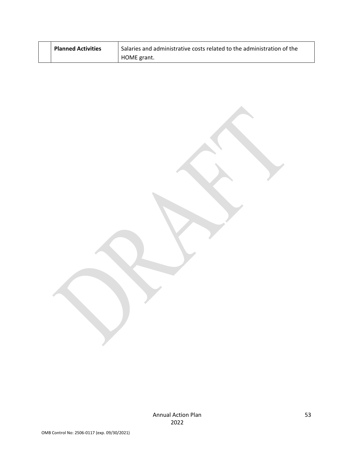| <b>Planned Activities</b> | Salaries and administrative costs related to the administration of the |
|---------------------------|------------------------------------------------------------------------|
|                           | HOME grant.                                                            |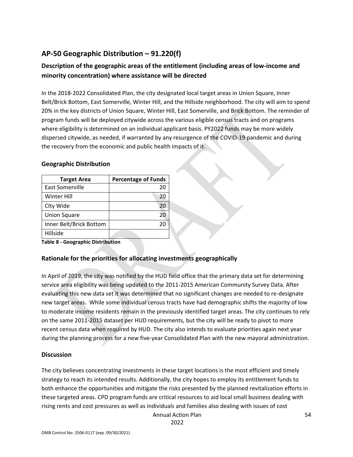# **AP-50 Geographic Distribution – 91.220(f)**

## **Description of the geographic areas of the entitlement (including areas of low-income and minority concentration) where assistance will be directed**

In the 2018-2022 Consolidated Plan, the city designated local target areas in Union Square, Inner Belt/Brick Bottom, East Somerville, Winter Hill, and the Hillside neighborhood. The city will aim to spend 20% in the key districts of Union Square, Winter Hill, East Somerville, and Brick Bottom. The reminder of program funds will be deployed citywide across the various eligible census tracts and on programs where eligibility is determined on an individual applicant basis. PY2022 funds may be more widely dispersed citywide, as needed, if warranted by any resurgence of the COVID-19 pandemic and during the recovery from the economic and public health impacts of it.

#### **Geographic Distribution**

| <b>Target Area</b>      | <b>Percentage of Funds</b> |
|-------------------------|----------------------------|
| East Somerville         | 20                         |
| Winter Hill             | 20                         |
| Clty Wide               | 20                         |
| <b>Union Square</b>     | 20                         |
| Inner Belt/Brick Bottom | 20                         |
| Hillside                |                            |

**Table 8 - Geographic Distribution** 

## **Rationale for the priorities for allocating investments geographically**

In April of 2019, the city was notified by the HUD field office that the primary data set for determining service area eligibility was being updated to the 2011-2015 American Community Survey Data. After evaluating this new data set it was determined that no significant changes are needed to re-designate new target areas. While some individual census tracts have had demographic shifts the majority of low to moderate income residents remain in the previously identified target areas. The city continues to rely on the same 2011-2015 dataset per HUD requirements, but the city will be ready to pivot to more recent census data when required by HUD. The city also intends to evaluate priorities again next year during the planning process for a new five-year Consolidated Plan with the new mayoral administration.

#### **Discussion**

The city believes concentrating investments in these target locations is the most efficient and timely strategy to reach its intended results. Additionally, the city hopes to employ its entitlement funds to both enhance the opportunities and mitigate the risks presented by the planned revitalization efforts in these targeted areas. CPD program funds are critical resources to aid local small business dealing with rising rents and cost pressures as well as individuals and families also dealing with issues of cost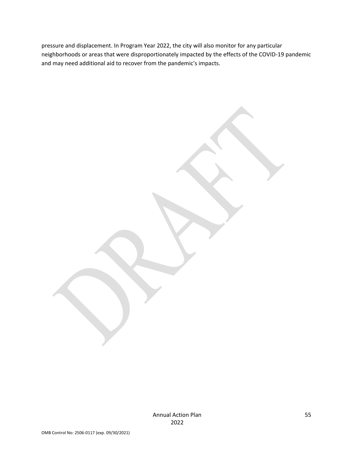pressure and displacement. In Program Year 2022, the city will also monitor for any particular neighborhoods or areas that were disproportionately impacted by the effects of the COVID-19 pandemic and may need additional aid to recover from the pandemic's impacts.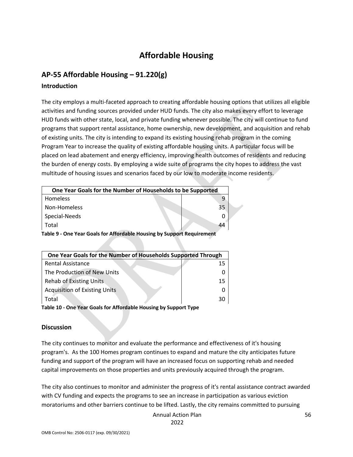# **Affordable Housing**

## **AP-55 Affordable Housing – 91.220(g)**

### **Introduction**

The city employs a multi-faceted approach to creating affordable housing options that utilizes all eligible activities and funding sources provided under HUD funds. The city also makes every effort to leverage HUD funds with other state, local, and private funding whenever possible. The city will continue to fund programs that support rental assistance, home ownership, new development, and acquisition and rehab of existing units. The city is intending to expand its existing housing rehab program in the coming Program Year to increase the quality of existing affordable housing units. A particular focus will be placed on lead abatement and energy efficiency, improving health outcomes of residents and reducing the burden of energy costs. By employing a wide suite of programs the city hopes to address the vast multitude of housing issues and scenarios faced by our low to moderate income residents.

| One Year Goals for the Number of Households to be Supported            |  |    |  |
|------------------------------------------------------------------------|--|----|--|
| <b>Homeless</b>                                                        |  |    |  |
| Non-Homeless                                                           |  | 35 |  |
| Special-Needs                                                          |  |    |  |
| Total                                                                  |  | 44 |  |
| Table 9 - One Year Goals for Affordable Housing by Support Requirement |  |    |  |

| One Year Goals for the Number of Households Supported Through |    |  |
|---------------------------------------------------------------|----|--|
| Rental Assistance                                             | 15 |  |
| The Production of New Units                                   |    |  |
| <b>Rehab of Existing Units</b>                                | 15 |  |
| <b>Acquisition of Existing Units</b>                          |    |  |
| Total                                                         | 30 |  |

**Table 10 - One Year Goals for Affordable Housing by Support Type**

## **Discussion**

The city continues to monitor and evaluate the performance and effectiveness of it's housing program's. As the 100 Homes program continues to expand and mature the city anticipates future funding and support of the program will have an increased focus on supporting rehab and needed capital improvements on those properties and units previously acquired through the program.

The city also continues to monitor and administer the progress of it's rental assistance contract awarded with CV funding and expects the programs to see an increase in participation as various eviction moratoriums and other barriers continue to be lifted. Lastly, the city remains committed to pursuing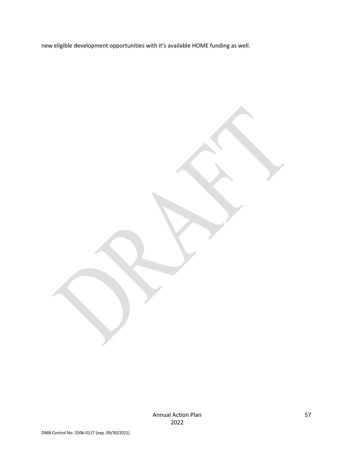new eligible development opportunities with it's available HOME funding as well.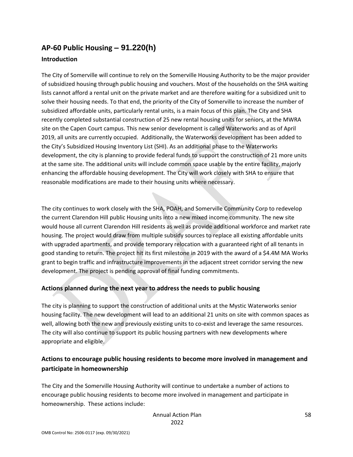# **AP-60 Public Housing** *–* **91.220(h)**

## **Introduction**

The City of Somerville will continue to rely on the Somerville Housing Authority to be the major provider of subsidized housing through public housing and vouchers. Most of the households on the SHA waiting lists cannot afford a rental unit on the private market and are therefore waiting for a subsidized unit to solve their housing needs. To that end, the priority of the City of Somerville to increase the number of subsidized affordable units, particularly rental units, is a main focus of this plan. The City and SHA recently completed substantial construction of 25 new rental housing units for seniors, at the MWRA site on the Capen Court campus. This new senior development is called Waterworks and as of April 2019, all units are currently occupied. Additionally, the Waterworks development has been added to the City's Subsidized Housing Inventory List (SHI). As an additional phase to the Waterworks development, the city is planning to provide federal funds to support the construction of 21 more units at the same site. The additional units will include common space usable by the entire facility, majorly enhancing the affordable housing development. The City will work closely with SHA to ensure that reasonable modifications are made to their housing units where necessary.

The city continues to work closely with the SHA, POAH, and Somerville Community Corp to redevelop the current Clarendon Hill public Housing units into a new mixed income community. The new site would house all current Clarendon Hill residents as well as provide additional workforce and market rate housing. The project would draw from multiple subsidy sources to replace all existing affordable units with upgraded apartments, and provide temporary relocation with a guaranteed right of all tenants in good standing to return. The project hit its first milestone in 2019 with the award of a \$4.4M MA Works grant to begin traffic and infrastructure improvements in the adjacent street corridor serving the new development. The project is pending approval of final funding commitments.

## **Actions planned during the next year to address the needs to public housing**

The city is planning to support the construction of additional units at the Mystic Waterworks senior housing facility. The new development will lead to an additional 21 units on site with common spaces as well, allowing both the new and previously existing units to co-exist and leverage the same resources. The city will also continue to support its public housing partners with new developments where appropriate and eligible.

## **Actions to encourage public housing residents to become more involved in management and participate in homeownership**

The City and the Somerville Housing Authority will continue to undertake a number of actions to encourage public housing residents to become more involved in management and participate in homeownership. These actions include: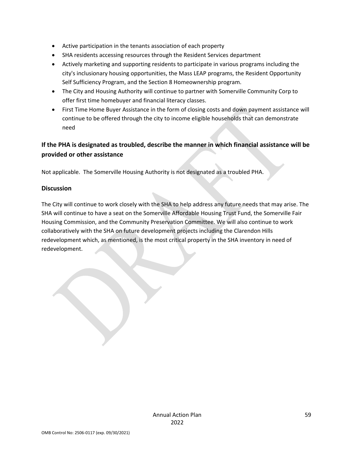- Active participation in the tenants association of each property
- SHA residents accessing resources through the Resident Services department
- Actively marketing and supporting residents to participate in various programs including the city's inclusionary housing opportunities, the Mass LEAP programs, the Resident Opportunity Self Sufficiency Program, and the Section 8 Homeownership program.
- The City and Housing Authority will continue to partner with Somerville Community Corp to offer first time homebuyer and financial literacy classes.
- First Time Home Buyer Assistance in the form of closing costs and down payment assistance will continue to be offered through the city to income eligible households that can demonstrate need

## **If the PHA is designated as troubled, describe the manner in which financial assistance will be provided or other assistance**

Not applicable. The Somerville Housing Authority is not designated as a troubled PHA.

#### **Discussion**

The City will continue to work closely with the SHA to help address any future needs that may arise. The SHA will continue to have a seat on the Somerville Affordable Housing Trust Fund, the Somerville Fair Housing Commission, and the Community Preservation Committee. We will also continue to work collaboratively with the SHA on future development projects including the Clarendon Hills redevelopment which, as mentioned, is the most critical property in the SHA inventory in need of redevelopment.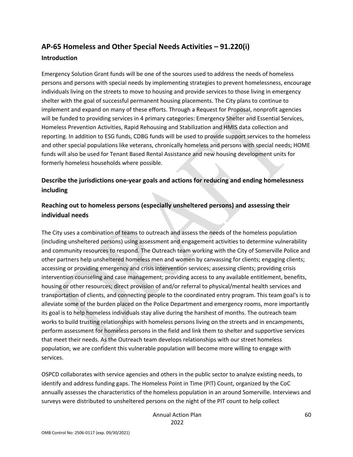# **AP-65 Homeless and Other Special Needs Activities – 91.220(i)**

#### **Introduction**

Emergency Solution Grant funds will be one of the sources used to address the needs of homeless persons and persons with special needs by implementing strategies to prevent homelessness, encourage individuals living on the streets to move to housing and provide services to those living in emergency shelter with the goal of successful permanent housing placements. The City plans to continue to implement and expand on many of these efforts. Through a Request for Proposal, nonprofit agencies will be funded to providing services in 4 primary categories: Emergency Shelter and Essential Services, Homeless Prevention Activities, Rapid Rehousing and Stabilization and HMIS data collection and reporting. In addition to ESG funds, CDBG funds will be used to provide support services to the homeless and other special populations like veterans, chronically homeless and persons with special needs; HOME funds will also be used for Tenant Based Rental Assistance and new housing development units for formerly homeless households where possible.

## **Describe the jurisdictions one-year goals and actions for reducing and ending homelessness including**

## **Reaching out to homeless persons (especially unsheltered persons) and assessing their individual needs**

The City uses a combination of teams to outreach and assess the needs of the homeless population (including unsheltered persons) using assessment and engagement activities to determine vulnerability and community resources to respond. The Outreach team working with the City of Somerville Police and other partners help unsheltered homeless men and women by canvassing for clients; engaging clients; accessing or providing emergency and crisis intervention services; assessing clients; providing crisis intervention counseling and case management; providing access to any available entitlement, benefits, housing or other resources; direct provision of and/or referral to physical/mental health services and transportation of clients, and connecting people to the coordinated entry program. This team goal's is to alleviate some of the burden placed on the Police Department and emergency rooms, more importantly its goal is to help homeless individuals stay alive during the harshest of months. The outreach team works to build trusting relationships with homeless persons living on the streets and in encampments, perform assessment for homeless persons in the field and link them to shelter and supportive services that meet their needs. As the Outreach team develops relationships with our street homeless population, we are confident this vulnerable population will become more willing to engage with services.

OSPCD collaborates with service agencies and others in the public sector to analyze existing needs, to identify and address funding gaps. The Homeless Point in Time (PIT) Count, organized by the CoC annually assesses the characteristics of the homeless population in an around Somerville. Interviews and surveys were distributed to unsheltered persons on the night of the PIT count to help collect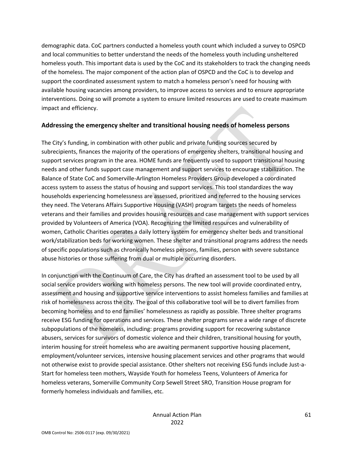demographic data. CoC partners conducted a homeless youth count which included a survey to OSPCD and local communities to better understand the needs of the homeless youth including unsheltered homeless youth. This important data is used by the CoC and its stakeholders to track the changing needs of the homeless. The major component of the action plan of OSPCD and the CoC is to develop and support the coordinated assessment system to match a homeless person's need for housing with available housing vacancies among providers, to improve access to services and to ensure appropriate interventions. Doing so will promote a system to ensure limited resources are used to create maximum impact and efficiency.

#### **Addressing the emergency shelter and transitional housing needs of homeless persons**

The City's funding, in combination with other public and private funding sources secured by subrecipients, finances the majority of the operations of emergency shelters, transitional housing and support services program in the area. HOME funds are frequently used to support transitional housing needs and other funds support case management and support services to encourage stabilization. The Balance of State CoC and Somerville-Arlington Homeless Providers Group developed a coordinated access system to assess the status of housing and support services. This tool standardizes the way households experiencing homelessness are assessed, prioritized and referred to the housing services they need. The Veterans Affairs Supportive Housing (VASH) program targets the needs of homeless veterans and their families and provides housing resources and case management with support services provided by Volunteers of America (VOA). Recognizing the limited resources and vulnerability of women, Catholic Charities operates a daily lottery system for emergency shelter beds and transitional work/stabilization beds for working women. These shelter and transitional programs address the needs of specific populations such as chronically homeless persons, families, person with severe substance abuse histories or those suffering from dual or multiple occurring disorders.

In conjunction with the Continuum of Care, the City has drafted an assessment tool to be used by all social service providers working with homeless persons. The new tool will provide coordinated entry, assessment and housing and supportive service interventions to assist homeless families and families at risk of homelessness across the city. The goal of this collaborative tool will be to divert families from becoming homeless and to end families' homelessness as rapidly as possible. Three shelter programs receive ESG funding for operations and services. These shelter programs serve a wide range of discrete subpopulations of the homeless, including: programs providing support for recovering substance abusers, services for survivors of domestic violence and their children, transitional housing for youth, interim housing for street homeless who are awaiting permanent supportive housing placement, employment/volunteer services, intensive housing placement services and other programs that would not otherwise exist to provide special assistance. Other shelters not receiving ESG funds include Just-a-Start for homeless teen mothers, Wayside Youth for homeless Teens, Volunteers of America for homeless veterans, Somerville Community Corp Sewell Street SRO, Transition House program for formerly homeless individuals and families, etc.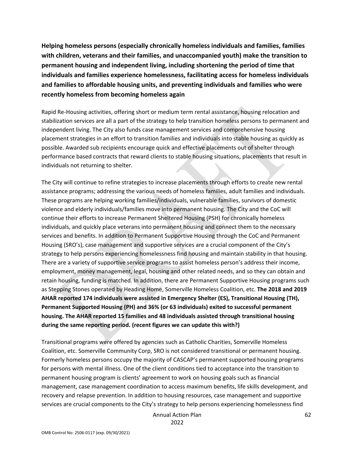**Helping homeless persons (especially chronically homeless individuals and families, families with children, veterans and their families, and unaccompanied youth) make the transition to permanent housing and independent living, including shortening the period of time that individuals and families experience homelessness, facilitating access for homeless individuals and families to affordable housing units, and preventing individuals and families who were recently homeless from becoming homeless again**

Rapid Re-Housing activities, offering short or medium term rental assistance, housing relocation and stabilization services are all a part of the strategy to help transition homeless persons to permanent and independent living. The City also funds case management services and comprehensive housing placement strategies in an effort to transition families and individuals into stable housing as quickly as possible. Awarded sub recipients encourage quick and effective placements out of shelter through performance based contracts that reward clients to stable housing situations, placements that result in individuals not returning to shelter.

The City will continue to refine strategies to increase placements through efforts to create new rental assistance programs; addressing the various needs of homeless families, adult families and individuals. These programs are helping working families/individuals, vulnerable families, survivors of domestic violence and elderly individuals/families move into permanent housing. The City and the CoC will continue their efforts to increase Permanent Sheltered Housing (PSH) for chronically homeless individuals, and quickly place veterans into permanent housing and connect them to the necessary services and benefits. In addition to Permanent Supportive Housing through the CoC and Permanent Housing (SRO's), case management and supportive services are a crucial component of the City's strategy to help persons experiencing homelessness find housing and maintain stability in that housing. There are a variety of supportive service programs to assist homeless person's address their income, employment, money management, legal, housing and other related needs, and so they can obtain and retain housing, funding is matched. In addition, there are Permanent Supportive Housing programs such as Stepping Stones operated by Heading Home, Somerville Homeless Coalition, etc. **The 2018 and 2019 AHAR reported 174 individuals were assisted in Emergency Shelter (ES), Transitional Housing (TH), Permanent Supported Housing (PH) and 36% (or 63 individuals) exited to successful permanent housing. The AHAR reported 15 families and 48 individuals assisted through transitional housing during the same reporting period. (recent figures we can update this with?)**

Transitional programs were offered by agencies such as Catholic Charities, Somerville Homeless Coalition, etc. Somerville Community Corp, SRO is not considered transitional or permanent housing. Formerly homeless persons occupy the majority of CASCAP's permanent supported housing programs for persons with mental illness. One of the client conditions tied to acceptance into the transition to permanent housing program is clients' agreement to work on housing goals such as financial management, case management coordination to access maximum benefits, life skills development, and recovery and relapse prevention. In addition to housing resources, case management and supportive services are crucial components to the City's strategy to help persons experiencing homelessness find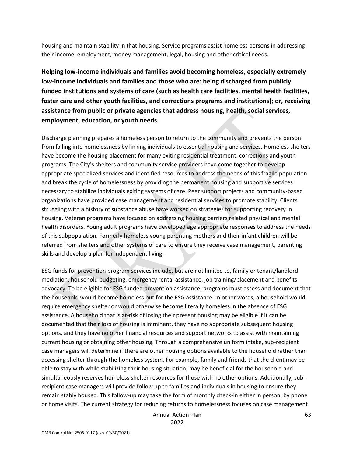housing and maintain stability in that housing. Service programs assist homeless persons in addressing their income, employment, money management, legal, housing and other critical needs.

**Helping low-income individuals and families avoid becoming homeless, especially extremely low-income individuals and families and those who are: being discharged from publicly funded institutions and systems of care (such as health care facilities, mental health facilities, foster care and other youth facilities, and corrections programs and institutions); or, receiving assistance from public or private agencies that address housing, health, social services, employment, education, or youth needs.**

Discharge planning prepares a homeless person to return to the community and prevents the person from falling into homelessness by linking individuals to essential housing and services. Homeless shelters have become the housing placement for many exiting residential treatment, corrections and youth programs. The City's shelters and community service providers have come together to develop appropriate specialized services and identified resources to address the needs of this fragile population and break the cycle of homelessness by providing the permanent housing and supportive services necessary to stabilize individuals exiting systems of care. Peer support projects and community-based organizations have provided case management and residential services to promote stability. Clients struggling with a history of substance abuse have worked on strategies for supporting recovery in housing. Veteran programs have focused on addressing housing barriers related physical and mental health disorders. Young adult programs have developed age appropriate responses to address the needs of this subpopulation. Formerly homeless young parenting mothers and their infant children will be referred from shelters and other systems of care to ensure they receive case management, parenting skills and develop a plan for independent living.

ESG funds for prevention program services include, but are not limited to, family or tenant/landlord mediation, household budgeting, emergency rental assistance, job training/placement and benefits advocacy. To be eligible for ESG funded prevention assistance, programs must assess and document that the household would become homeless but for the ESG assistance. In other words, a household would require emergency shelter or would otherwise become literally homeless in the absence of ESG assistance. A household that is at-risk of losing their present housing may be eligible if it can be documented that their loss of housing is imminent, they have no appropriate subsequent housing options, and they have no other financial resources and support networks to assist with maintaining current housing or obtaining other housing. Through a comprehensive uniform intake, sub-recipient case managers will determine if there are other housing options available to the household rather than accessing shelter through the homeless system. For example, family and friends that the client may be able to stay with while stabilizing their housing situation, may be beneficial for the household and simultaneously reserves homeless shelter resources for those with no other options. Additionally, subrecipient case managers will provide follow up to families and individuals in housing to ensure they remain stably housed. This follow-up may take the form of monthly check-in either in person, by phone or home visits. The current strategy for reducing returns to homelessness focuses on case management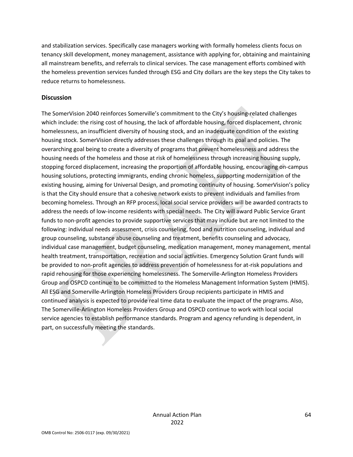and stabilization services. Specifically case managers working with formally homeless clients focus on tenancy skill development, money management, assistance with applying for, obtaining and maintaining all mainstream benefits, and referrals to clinical services. The case management efforts combined with the homeless prevention services funded through ESG and City dollars are the key steps the City takes to reduce returns to homelessness.

#### **Discussion**

The SomerVision 2040 reinforces Somerville's commitment to the City's housing-related challenges which include: the rising cost of housing, the lack of affordable housing, forced displacement, chronic homelessness, an insufficient diversity of housing stock, and an inadequate condition of the existing housing stock. SomerVision directly addresses these challenges through its goal and policies. The overarching goal being to create a diversity of programs that prevent homelessness and address the housing needs of the homeless and those at risk of homelessness through increasing housing supply, stopping forced displacement, increasing the proportion of affordable housing, encouraging on-campus housing solutions, protecting immigrants, ending chronic homeless, supporting modernization of the existing housing, aiming for Universal Design, and promoting continuity of housing. SomerVision's policy is that the City should ensure that a cohesive network exists to prevent individuals and families from becoming homeless. Through an RFP process, local social service providers will be awarded contracts to address the needs of low-income residents with special needs. The City will award Public Service Grant funds to non-profit agencies to provide supportive services that may include but are not limited to the following: individual needs assessment, crisis counseling, food and nutrition counseling, individual and group counseling, substance abuse counseling and treatment, benefits counseling and advocacy, individual case management, budget counseling, medication management, money management, mental health treatment, transportation, recreation and social activities. Emergency Solution Grant funds will be provided to non-profit agencies to address prevention of homelessness for at-risk populations and rapid rehousing for those experiencing homelessness. The Somerville-Arlington Homeless Providers Group and OSPCD continue to be committed to the Homeless Management Information System (HMIS). All ESG and Somerville-Arlington Homeless Providers Group recipients participate in HMIS and continued analysis is expected to provide real time data to evaluate the impact of the programs. Also, The Somerville-Arlington Homeless Providers Group and OSPCD continue to work with local social service agencies to establish performance standards. Program and agency refunding is dependent, in part, on successfully meeting the standards.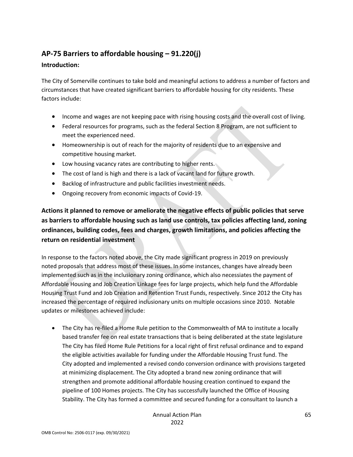# **AP-75 Barriers to affordable housing – 91.220(j)**

## **Introduction:**

The City of Somerville continues to take bold and meaningful actions to address a number of factors and circumstances that have created significant barriers to affordable housing for city residents. These factors include:

- Income and wages are not keeping pace with rising housing costs and the overall cost of living.
- Federal resources for programs, such as the federal Section 8 Program, are not sufficient to meet the experienced need.
- Homeownership is out of reach for the majority of residents due to an expensive and competitive housing market.
- Low housing vacancy rates are contributing to higher rents.
- The cost of land is high and there is a lack of vacant land for future growth.
- Backlog of infrastructure and public facilities investment needs.
- Ongoing recovery from economic impacts of Covid-19.

**Actions it planned to remove or ameliorate the negative effects of public policies that serve as barriers to affordable housing such as land use controls, tax policies affecting land, zoning ordinances, building codes, fees and charges, growth limitations, and policies affecting the return on residential investment**

In response to the factors noted above, the City made significant progress in 2019 on previously noted proposals that address most of these issues. In some instances, changes have already been implemented such as in the inclusionary zoning ordinance, which also necessiates the payment of Affordable Housing and Job Creation Linkage fees for large projects, which help fund the Affordable Housing Trust Fund and Job Creation and Retention Trust Funds, respectively. Since 2012 the City has increased the percentage of required inclusionary units on multiple occasions since 2010. Notable updates or milestones achieved include:

• The City has re-filed a Home Rule petition to the Commonwealth of MA to institute a locally based transfer fee on real estate transactions that is being deliberated at the state legislature The City has filed Home Rule Petitions for a local right of first refusal ordinance and to expand the eligible activities available for funding under the Affordable Housing Trust fund. The City adopted and implemented a revised condo conversion ordinance with provisions targeted at minimizing displacement. The City adopted a brand new zoning ordinance that will strengthen and promote additional affordable housing creation continued to expand the pipeline of 100 Homes projects. The City has successfully launched the Office of Housing Stability. The City has formed a committee and secured funding for a consultant to launch a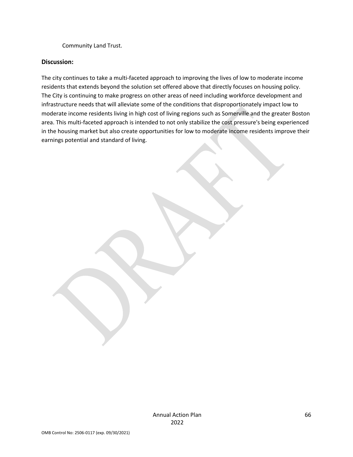Community Land Trust.

### **Discussion:**

The city continues to take a multi-faceted approach to improving the lives of low to moderate income residents that extends beyond the solution set offered above that directly focuses on housing policy. The City is continuing to make progress on other areas of need including workforce development and infrastructure needs that will alleviate some of the conditions that disproportionately impact low to moderate income residents living in high cost of living regions such as Somerville and the greater Boston area. This multi-faceted approach is intended to not only stabilize the cost pressure's being experienced in the housing market but also create opportunities for low to moderate income residents improve their earnings potential and standard of living.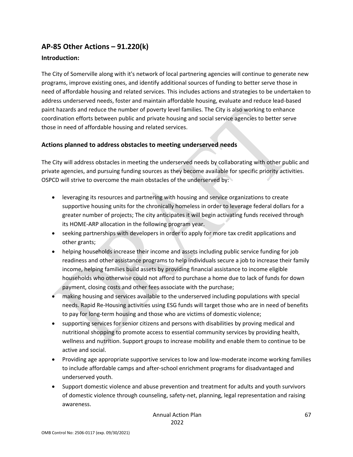# **AP-85 Other Actions – 91.220(k)**

## **Introduction:**

The City of Somerville along with it's network of local partnering agencies will continue to generate new programs, improve existing ones, and identify additional sources of funding to better serve those in need of affordable housing and related services. This includes actions and strategies to be undertaken to address underserved needs, foster and maintain affordable housing, evaluate and reduce lead-based paint hazards and reduce the number of poverty level families. The City is also working to enhance coordination efforts between public and private housing and social service agencies to better serve those in need of affordable housing and related services.

## **Actions planned to address obstacles to meeting underserved needs**

The City will address obstacles in meeting the underserved needs by collaborating with other public and private agencies, and pursuing funding sources as they become available for specific priority activities. OSPCD will strive to overcome the main obstacles of the underserved by:

- leveraging its resources and partnering with housing and service organizations to create supportive housing units for the chronically homeless in order to leverage federal dollars for a greater number of projects; The city anticipates it will begin activating funds received through its HOME-ARP allocation in the following program year.
- seeking partnerships with developers in order to apply for more tax credit applications and other grants;
- helping households increase their income and assets including public service funding for job readiness and other assistance programs to help individuals secure a job to increase their family income, helping families build assets by providing financial assistance to income eligible households who otherwise could not afford to purchase a home due to lack of funds for down payment, closing costs and other fees associate with the purchase;
- making housing and services available to the underserved including populations with special needs. Rapid Re-Housing activities using ESG funds will target those who are in need of benefits to pay for long-term housing and those who are victims of domestic violence;
- supporting services for senior citizens and persons with disabilities by proving medical and nutritional shopping to promote access to essential community services by providing health, wellness and nutrition. Support groups to increase mobility and enable them to continue to be active and social.
- Providing age appropriate supportive services to low and low-moderate income working families to include affordable camps and after-school enrichment programs for disadvantaged and underserved youth.
- Support domestic violence and abuse prevention and treatment for adults and youth survivors of domestic violence through counseling, safety-net, planning, legal representation and raising awareness.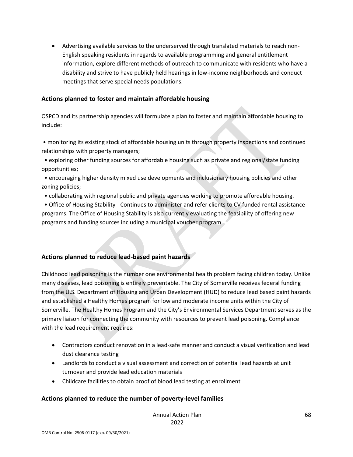• Advertising available services to the underserved through translated materials to reach non-English speaking residents in regards to available programming and general entitlement information, explore different methods of outreach to communicate with residents who have a disability and strive to have publicly held hearings in low-income neighborhoods and conduct meetings that serve special needs populations.

#### **Actions planned to foster and maintain affordable housing**

OSPCD and its partnership agencies will formulate a plan to foster and maintain affordable housing to include:

• monitoring its existing stock of affordable housing units through property inspections and continued relationships with property managers;

• exploring other funding sources for affordable housing such as private and regional/state funding opportunities;

• encouraging higher density mixed use developments and inclusionary housing policies and other zoning policies;

• collaborating with regional public and private agencies working to promote affordable housing.

• Office of Housing Stability - Continues to administer and refer clients to CV funded rental assistance programs. The Office of Housing Stability is also currently evaluating the feasibility of offering new programs and funding sources including a municipal voucher program.

#### **Actions planned to reduce lead-based paint hazards**

Childhood lead poisoning is the number one environmental health problem facing children today. Unlike many diseases, lead poisoning is entirely preventable. The City of Somerville receives federal funding from the U.S. Department of Housing and Urban Development (HUD) to reduce lead based paint hazards and established a Healthy Homes program for low and moderate income units within the City of Somerville. The Healthy Homes Program and the City's Environmental Services Department serves as the primary liaison for connecting the community with resources to prevent lead poisoning. Compliance with the lead requirement requires:

- Contractors conduct renovation in a lead-safe manner and conduct a visual verification and lead dust clearance testing
- Landlords to conduct a visual assessment and correction of potential lead hazards at unit turnover and provide lead education materials
- Childcare facilities to obtain proof of blood lead testing at enrollment

## **Actions planned to reduce the number of poverty-level families**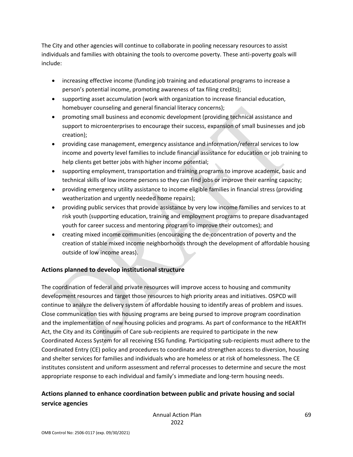The City and other agencies will continue to collaborate in pooling necessary resources to assist individuals and families with obtaining the tools to overcome poverty. These anti-poverty goals will include:

- increasing effective income (funding job training and educational programs to increase a person's potential income, promoting awareness of tax filing credits);
- supporting asset accumulation (work with organization to increase financial education, homebuyer counseling and general financial literacy concerns);
- promoting small business and economic development (providing technical assistance and support to microenterprises to encourage their success, expansion of small businesses and job creation);
- providing case management, emergency assistance and information/referral services to low income and poverty level families to include financial assistance for education or job training to help clients get better jobs with higher income potential;
- supporting employment, transportation and training programs to improve academic, basic and technical skills of low income persons so they can find jobs or improve their earning capacity;
- providing emergency utility assistance to income eligible families in financial stress (providing weatherization and urgently needed home repairs);
- providing public services that provide assistance by very low income families and services to at risk youth (supporting education, training and employment programs to prepare disadvantaged youth for career success and mentoring program to improve their outcomes); and
- creating mixed income communities (encouraging the de-concentration of poverty and the creation of stable mixed income neighborhoods through the development of affordable housing outside of low income areas).

## **Actions planned to develop institutional structure**

The coordination of federal and private resources will improve access to housing and community development resources and target those resources to high priority areas and initiatives. OSPCD will continue to analyze the delivery system of affordable housing to identify areas of problem and issues. Close communication ties with housing programs are being pursed to improve program coordination and the implementation of new housing policies and programs. As part of conformance to the HEARTH Act, the City and its Continuum of Care sub-recipients are required to participate in the new Coordinated Access System for all receiving ESG funding. Participating sub-recipients must adhere to the Coordinated Entry (CE) policy and procedures to coordinate and strengthen access to diversion, housing and shelter services for families and individuals who are homeless or at risk of homelessness. The CE institutes consistent and uniform assessment and referral processes to determine and secure the most appropriate response to each individual and family's immediate and long-term housing needs.

## **Actions planned to enhance coordination between public and private housing and social service agencies**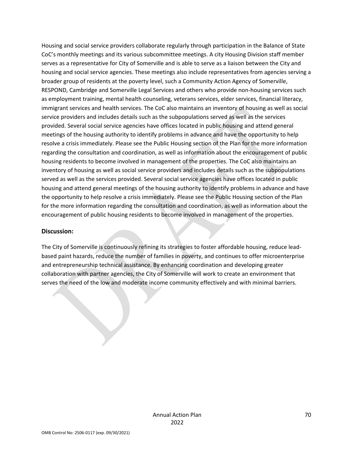Housing and social service providers collaborate regularly through participation in the Balance of State CoC's monthly meetings and its various subcommittee meetings. A city Housing Division staff member serves as a representative for City of Somerville and is able to serve as a liaison between the City and housing and social service agencies. These meetings also include representatives from agencies serving a broader group of residents at the poverty level, such a Community Action Agency of Somerville, RESPOND, Cambridge and Somerville Legal Services and others who provide non-housing services such as employment training, mental health counseling, veterans services, elder services, financial literacy, immigrant services and health services. The CoC also maintains an inventory of housing as well as social service providers and includes details such as the subpopulations served as well as the services provided. Several social service agencies have offices located in public housing and attend general meetings of the housing authority to identify problems in advance and have the opportunity to help resolve a crisis immediately. Please see the Public Housing section of the Plan for the more information regarding the consultation and coordination, as well as information about the encouragement of public housing residents to become involved in management of the properties. The CoC also maintains an inventory of housing as well as social service providers and includes details such as the subpopulations served as well as the services provided. Several social service agencies have offices located in public housing and attend general meetings of the housing authority to identify problems in advance and have the opportunity to help resolve a crisis immediately. Please see the Public Housing section of the Plan for the more information regarding the consultation and coordination, as well as information about the encouragement of public housing residents to become involved in management of the properties.

#### **Discussion:**

The City of Somerville is continuously refining its strategies to foster affordable housing, reduce leadbased paint hazards, reduce the number of families in poverty, and continues to offer microenterprise and entrepreneurship technical assistance. By enhancing coordination and developing greater collaboration with partner agencies, the City of Somerville will work to create an environment that serves the need of the low and moderate income community effectively and with minimal barriers.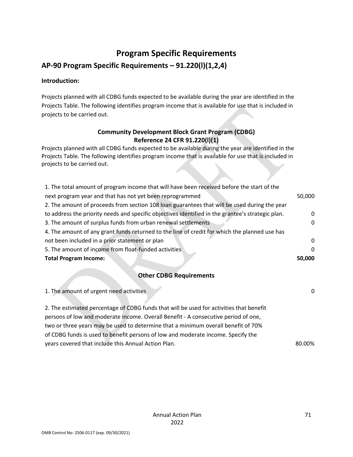# **Program Specific Requirements**

## **AP-90 Program Specific Requirements – 91.220(l)(1,2,4)**

## **Introduction:**

Projects planned with all CDBG funds expected to be available during the year are identified in the Projects Table. The following identifies program income that is available for use that is included in projects to be carried out.

## **Community Development Block Grant Program (CDBG) Reference 24 CFR 91.220(l)(1)**

Projects planned with all CDBG funds expected to be available during the year are identified in the Projects Table. The following identifies program income that is available for use that is included in projects to be carried out.

| 50,000   |
|----------|
|          |
| $\Omega$ |
| 0        |
|          |
| $\Omega$ |
| 0        |
| 50,000   |
|          |

## **Other CDBG Requirements**

| 1. The amount of urgent need activities                                                 |        |
|-----------------------------------------------------------------------------------------|--------|
|                                                                                         |        |
| 2. The estimated percentage of CDBG funds that will be used for activities that benefit |        |
| persons of low and moderate income. Overall Benefit - A consecutive period of one,      |        |
| two or three years may be used to determine that a minimum overall benefit of 70%       |        |
| of CDBG funds is used to benefit persons of low and moderate income. Specify the        |        |
| years covered that include this Annual Action Plan.                                     | 80.00% |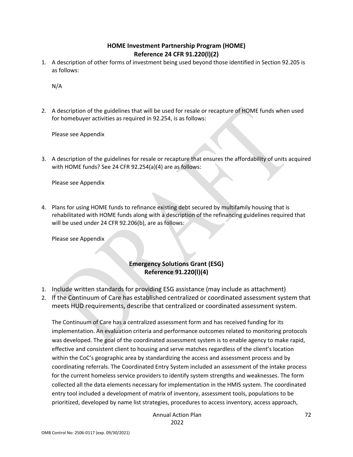## **HOME Investment Partnership Program (HOME) Reference 24 CFR 91.220(l)(2)**

1. A description of other forms of investment being used beyond those identified in Section 92.205 is as follows:

N/A

2. A description of the guidelines that will be used for resale or recapture of HOME funds when used for homebuyer activities as required in 92.254, is as follows:

Please see Appendix

3. A description of the guidelines for resale or recapture that ensures the affordability of units acquired with HOME funds? See 24 CFR 92.254(a)(4) are as follows:

Please see Appendix

4. Plans for using HOME funds to refinance existing debt secured by multifamily housing that is rehabilitated with HOME funds along with a description of the refinancing guidelines required that will be used under 24 CFR 92.206(b), are as follows:

Please see Appendix

## **Emergency Solutions Grant (ESG) Reference 91.220(l)(4)**

- 1. Include written standards for providing ESG assistance (may include as attachment)
- 2. If the Continuum of Care has established centralized or coordinated assessment system that meets HUD requirements, describe that centralized or coordinated assessment system.

The Continuum of Care has a centralized assessment form and has received funding for its implementation. An evaluation criteria and performance outcomes related to monitoring protocols was developed. The goal of the coordinated assessment system is to enable agency to make rapid, effective and consistent client to housing and serve matches regardless of the client's location within the CoC's geographic area by standardizing the access and assessment process and by coordinating referrals. The Coordinated Entry System included an assessment of the intake process for the current homeless service providers to identify system strengths and weaknesses. The form collected all the data elements necessary for implementation in the HMIS system. The coordinated entry tool included a development of matrix of inventory, assessment tools, populations to be prioritized, developed by name list strategies, procedures to access inventory, access approach,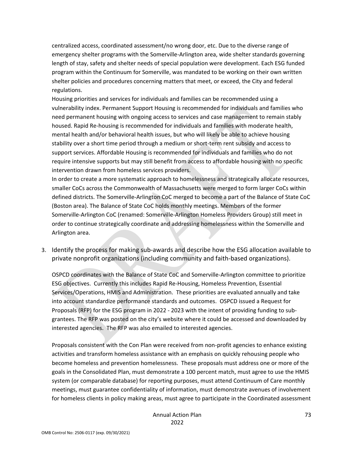centralized access, coordinated assessment/no wrong door, etc. Due to the diverse range of emergency shelter programs with the Somerville-Arlington area, wide shelter standards governing length of stay, safety and shelter needs of special population were development. Each ESG funded program within the Continuum for Somerville, was mandated to be working on their own written shelter policies and procedures concerning matters that meet, or exceed, the City and federal regulations.

Housing priorities and services for individuals and families can be recommended using a vulnerability index. Permanent Support Housing is recommended for individuals and families who need permanent housing with ongoing access to services and case management to remain stably housed. Rapid Re-housing is recommended for individuals and families with moderate health, mental health and/or behavioral health issues, but who will likely be able to achieve housing stability over a short time period through a medium or short-term rent subsidy and access to support services. Affordable Housing is recommended for individuals and families who do not require intensive supports but may still benefit from access to affordable housing with no specific intervention drawn from homeless services providers.

In order to create a more systematic approach to homelessness and strategically allocate resources, smaller CoCs across the Commonwealth of Massachusetts were merged to form larger CoCs within defined districts. The Somerville-Arlington CoC merged to become a part of the Balance of State CoC (Boston area). The Balance of State CoC holds monthly meetings. Members of the former Somerville-Arlington CoC (renamed: Somerville-Arlington Homeless Providers Group) still meet in order to continue strategically coordinate and addressing homelessness within the Somerville and Arlington area.

3. Identify the process for making sub-awards and describe how the ESG allocation available to private nonprofit organizations (including community and faith-based organizations).

OSPCD coordinates with the Balance of State CoC and Somerville-Arlington committee to prioritize ESG objectives. Currently this includes Rapid Re-Housing, Homeless Prevention, Essential Services/Operations, HMIS and Administration. These priorities are evaluated annually and take into account standardize performance standards and outcomes. OSPCD issued a Request for Proposals (RFP) for the ESG program in 2022 - 2023 with the intent of providing funding to subgrantees. The RFP was posted on the city's website where it could be accessed and downloaded by interested agencies. The RFP was also emailed to interested agencies.

Proposals consistent with the Con Plan were received from non-profit agencies to enhance existing activities and transform homeless assistance with an emphasis on quickly rehousing people who become homeless and prevention homelessness. These proposals must address one or more of the goals in the Consolidated Plan, must demonstrate a 100 percent match, must agree to use the HMIS system (or comparable database) for reporting purposes, must attend Continuum of Care monthly meetings, must guarantee confidentiality of information, must demonstrate avenues of involvement for homeless clients in policy making areas, must agree to participate in the Coordinated assessment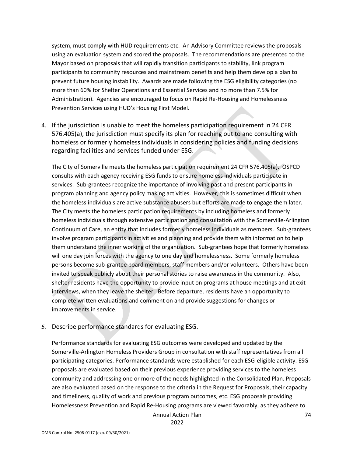system, must comply with HUD requirements etc. An Advisory Committee reviews the proposals using an evaluation system and scored the proposals. The recommendations are presented to the Mayor based on proposals that will rapidly transition participants to stability, link program participants to community resources and mainstream benefits and help them develop a plan to prevent future housing instability. Awards are made following the ESG eligibility categories (no more than 60% for Shelter Operations and Essential Services and no more than 7.5% for Administration). Agencies are encouraged to focus on Rapid Re-Housing and Homelessness Prevention Services using HUD's Housing First Model.

4. If the jurisdiction is unable to meet the homeless participation requirement in 24 CFR 576.405(a), the jurisdiction must specify its plan for reaching out to and consulting with homeless or formerly homeless individuals in considering policies and funding decisions regarding facilities and services funded under ESG.

The City of Somerville meets the homeless participation requirement 24 CFR 576.405(a). OSPCD consults with each agency receiving ESG funds to ensure homeless individuals participate in services. Sub-grantees recognize the importance of involving past and present participants in program planning and agency policy making activities. However, this is sometimes difficult when the homeless individuals are active substance abusers but efforts are made to engage them later. The City meets the homeless participation requirements by including homeless and formerly homeless individuals through extensive participation and consultation with the Somerville-Arlington Continuum of Care, an entity that includes formerly homeless individuals as members. Sub-grantees involve program participants in activities and planning and provide them with information to help them understand the inner working of the organization. Sub-grantees hope that formerly homeless will one day join forces with the agency to one day end homelessness. Some formerly homeless persons become sub-grantee board members, staff members and/or volunteers. Others have been invited to speak publicly about their personal stories to raise awareness in the community. Also, shelter residents have the opportunity to provide input on programs at house meetings and at exit interviews, when they leave the shelter. Before departure, residents have an opportunity to complete written evaluations and comment on and provide suggestions for changes or improvements in service.

*5.* Describe performance standards for evaluating ESG.

Performance standards for evaluating ESG outcomes were developed and updated by the Somerville-Arlington Homeless Providers Group in consultation with staff representatives from all participating categories. Performance standards were established for each ESG-eligible activity. ESG proposals are evaluated based on their previous experience providing services to the homeless community and addressing one or more of the needs highlighted in the Consolidated Plan. Proposals are also evaluated based on the response to the criteria in the Request for Proposals, their capacity and timeliness, quality of work and previous program outcomes, etc. ESG proposals providing Homelessness Prevention and Rapid Re-Housing programs are viewed favorably, as they adhere to

Annual Action Plan